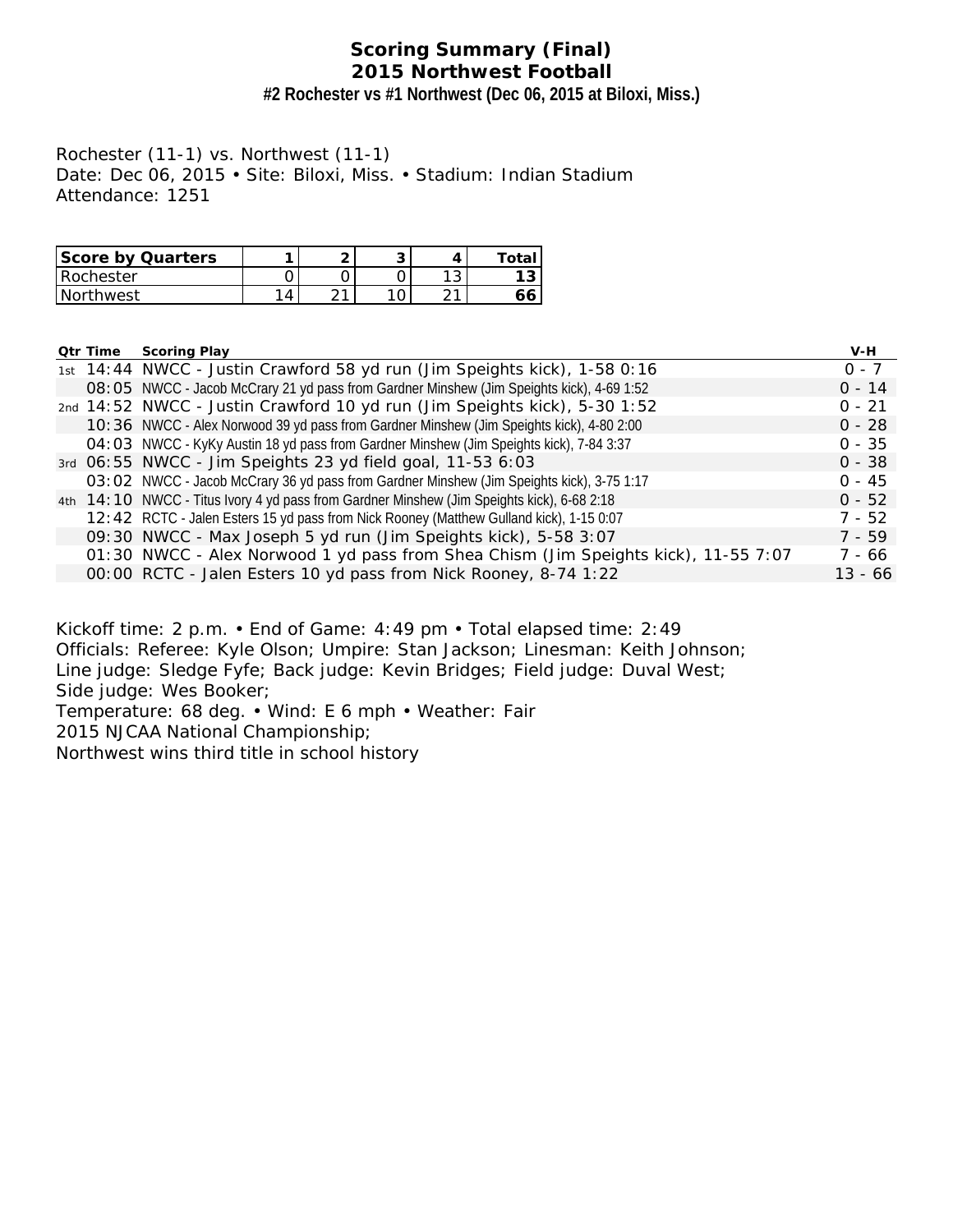# **Scoring Summary (Final) 2015 Northwest Football #2 Rochester vs #1 Northwest (Dec 06, 2015 at Biloxi, Miss.)**

Rochester (11-1) vs. Northwest (11-1) Date: Dec 06, 2015 • Site: Biloxi, Miss. • Stadium: Indian Stadium Attendance: 1251

| Score by Quarters | ⌒ | ∼ |   |        |
|-------------------|---|---|---|--------|
| Rochester         |   |   | ັ | .<br>. |
| <b>Northwest</b>  |   | ◡ |   |        |

Kickoff time: 2 p.m. • End of Game: 4:49 pm • Total elapsed time: 2:49 Officials: Referee: Kyle Olson; Umpire: Stan Jackson; Linesman: Keith Johnson; Line judge: Sledge Fyfe; Back judge: Kevin Bridges; Field judge: Duval West; Side judge: Wes Booker; Temperature: 68 deg. • Wind: E 6 mph • Weather: Fair 2015 NJCAA National Championship;

Northwest wins third title in school history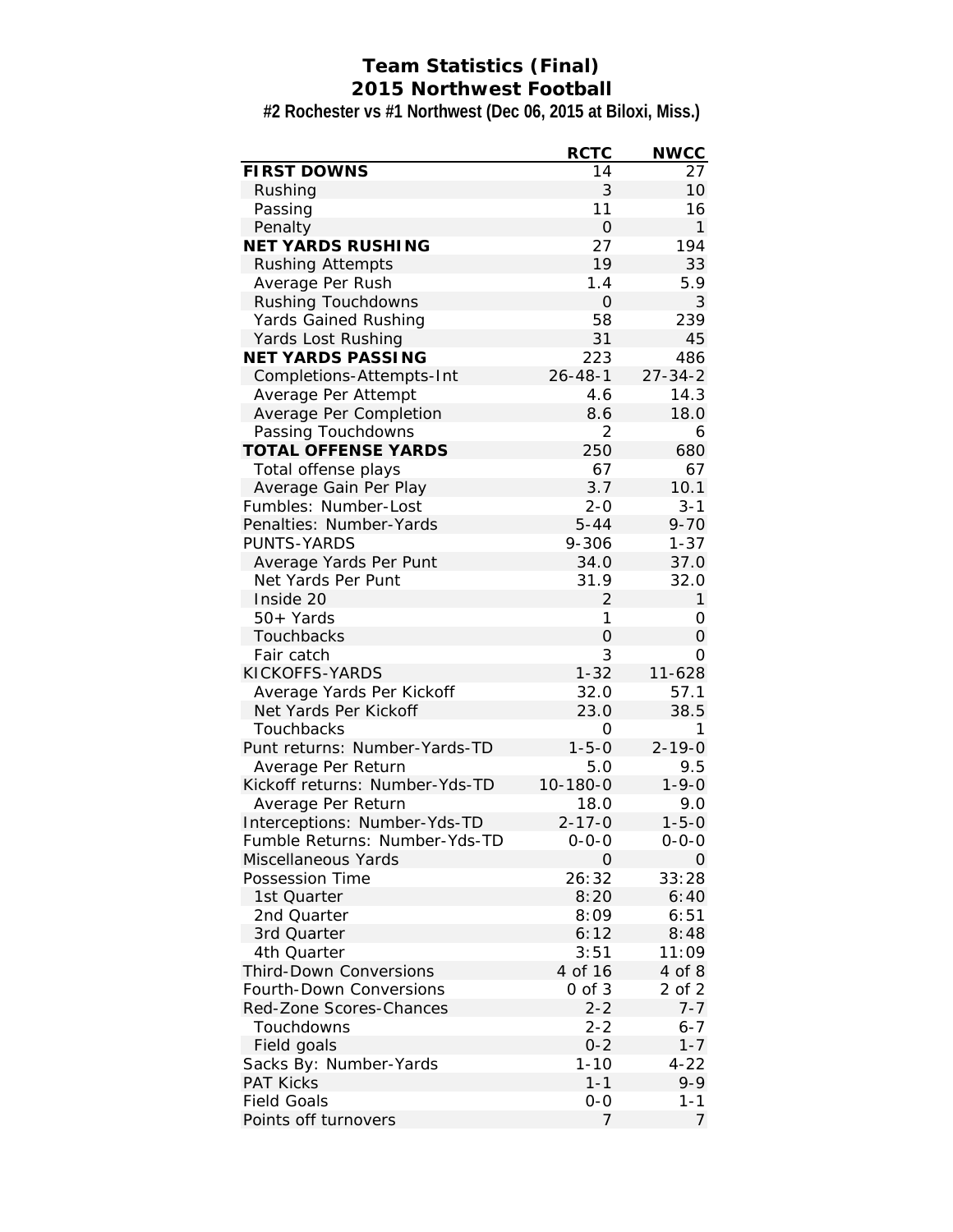# **Team Statistics (Final) 2015 Northwest Football #2 Rochester vs #1 Northwest (Dec 06, 2015 at Biloxi, Miss.)**

|                                | <b>RCTC</b>    | <b>NWCC</b>   |
|--------------------------------|----------------|---------------|
| FIRST DOWNS                    | 14             | 27            |
| Rushing                        | 3              | 10            |
| Passing                        | 11             | 16            |
| Penalty                        | 0              | 1             |
| NET YARDS RUSHING              | 27             | 194           |
| <b>Rushing Attempts</b>        | 19             | 33            |
| Average Per Rush               | 1.4            | 5.9           |
| Rushing Touchdowns             | $\overline{0}$ | 3             |
| Yards Gained Rushing           | 58             | 239           |
| Yards Lost Rushing             | 31             | 45            |
| NET YARDS PASSING              | 223            | 486           |
| Completions-Attempts-Int       | $26 - 48 - 1$  | $27 - 34 - 2$ |
| Average Per Attempt            | 4.6            | 14.3          |
| Average Per Completion         | 8.6            | 18.0          |
| Passing Touchdowns             | 2              | 6             |
| TOTAL OFFENSE YARDS            | 250            | 680           |
| Total offense plays            | 67             | 67            |
| Average Gain Per Play          | 3.7            | 10.1          |
| Fumbles: Number-Lost           | $2 - 0$        | $3 - 1$       |
| Penalties: Number-Yards        | $5 - 44$       | $9 - 70$      |
| PUNTS-YARDS                    | 9-306          | $1 - 37$      |
| Average Yards Per Punt         | 34.0           | 37.0          |
| Net Yards Per Punt             |                |               |
|                                | 31.9           | 32.0          |
| Inside 20                      | $\overline{2}$ | 1             |
| 50+ Yards                      | 1              | 0             |
| Touchbacks                     | $\overline{O}$ | O             |
| Fair catch                     | 3              | 0             |
| KICKOFFS-YARDS                 | $1 - 32$       | 11-628        |
| Average Yards Per Kickoff      | 32.0           | 57.1          |
| Net Yards Per Kickoff          | 23.0           | 38.5          |
| Touchbacks                     | 0              | 1             |
| Punt returns: Number-Yards-TD  | $1 - 5 - 0$    | $2 - 19 - 0$  |
| Average Per Return             | 5.0            | 9.5           |
| Kickoff returns: Number-Yds-TD | 10-180-0       | $1 - 9 - 0$   |
| Average Per Return             | 18.0           | 9.0           |
| Interceptions: Number-Yds-TD   | $2 - 17 - 0$   | $1 - 5 - 0$   |
| Fumble Returns: Number-Yds-TD  | $0 - 0 - 0$    | 0-0-0         |
| Miscellaneous Yards            | 0              | 0             |
| Possession Time                | 26:32          | 33:28         |
| 1st Quarter                    | 8:20           | 6:40          |
| 2nd Quarter                    | 8:09           | 6:51          |
| 3rd Quarter                    | 6:12           | 8:48          |
| 4th Quarter                    | 3:51           | 11:09         |
| <b>Third-Down Conversions</b>  | 4 of 16        | 4 of 8        |
| Fourth-Down Conversions        | 0 of 3         | 2 of 2        |
| Red-Zone Scores-Chances        | $2 - 2$        | $7 - 7$       |
| Touchdowns                     | $2 - 2$        | $6 - 7$       |
| Field goals                    | $0 - 2$        | $1 - 7$       |
| Sacks By: Number-Yards         | $1 - 10$       | $4 - 22$      |
| <b>PAT Kicks</b>               | $1 - 1$        | $9 - 9$       |
| <b>Field Goals</b>             | $O-O$          | 1-1           |
| Points off turnovers           | 7              | 7             |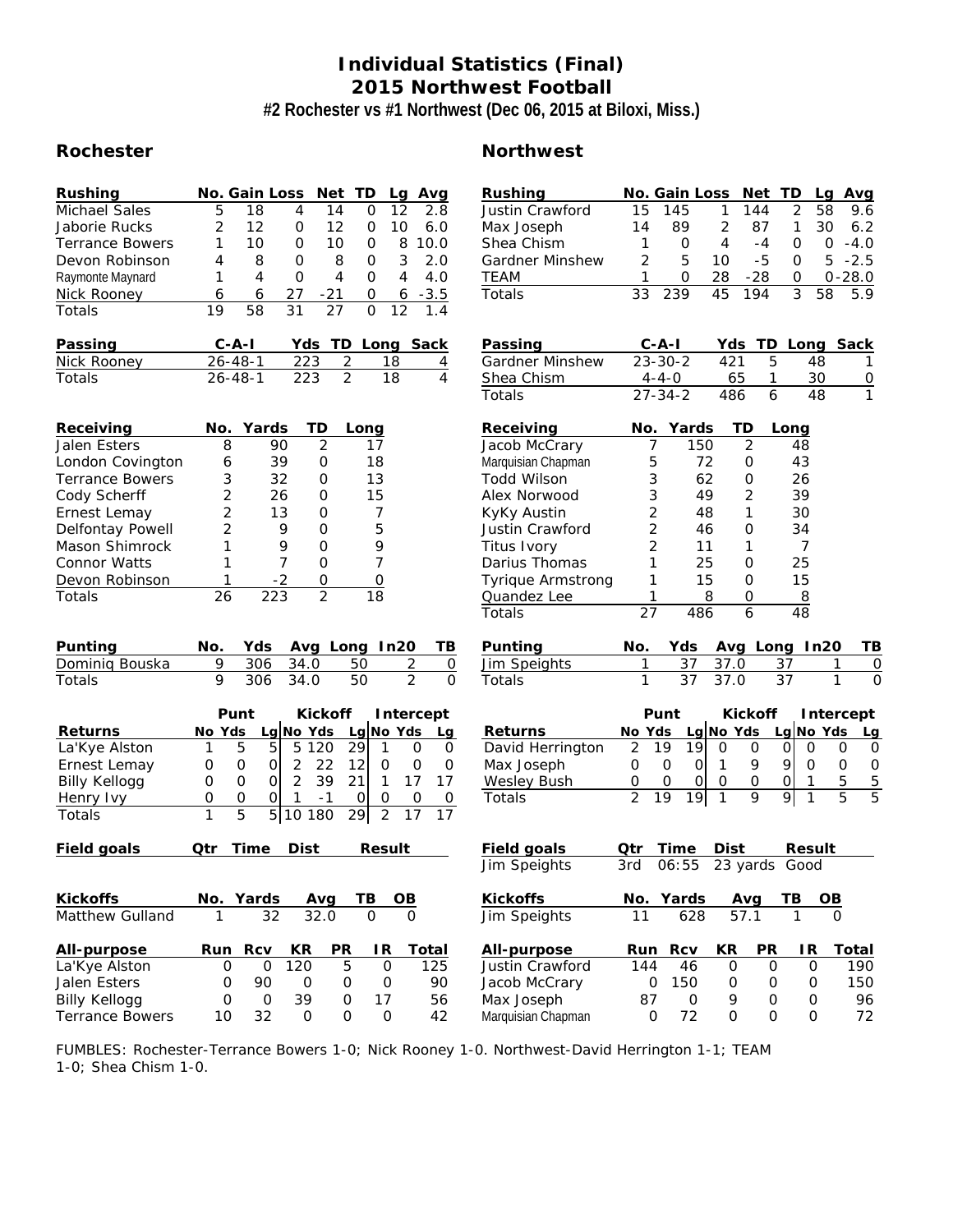# **Individual Statistics (Final) 2015 Northwest Football #2 Rochester vs #1 Northwest (Dec 06, 2015 at Biloxi, Miss.)**

#### **Rochester Northwest**

| Rushing<br>Michael Sales<br>Jaborie Rucks<br><b>Terrance Bowers</b><br>Devon Robinson<br>Raymonte Maynard<br>Nick Rooney<br>Totals                                                        | No. Gain Loss<br>Net<br>TD<br>Avg<br>Lg<br>5<br>18<br>14<br>O<br>12<br>2.8<br>4<br>12<br>10<br>2<br>12<br>6.0<br>0<br>0<br>10<br>8<br>1<br>$\mathbf{O}$<br>10<br>0<br>10.0<br>8<br>3<br>4<br>8<br>$\mathbf{O}$<br>O<br>2.0<br>1<br>$\mathbf 0$<br>$\overline{4}$<br>4.0<br>4<br>$\Omega$<br>4<br>27<br>$-3.5$<br>6<br>6<br>$-21$<br>0<br>6<br>$\overline{31}$<br>19<br>58<br>27<br>$\overline{O}$<br>12<br>1.4                          | Rushing<br>Justin Crawford<br>Max Joseph<br>Shea Chism<br>Gardner Minshew<br><b>TEAM</b><br>Totals                                                                                           | No. Gain Loss<br>15<br>145<br>89<br>14<br>1<br>0<br>2<br>5<br>0<br>1<br>33<br>239                                                                                              | Net<br>TD<br>Avg<br>Lq<br>2<br>1<br>144<br>58<br>9.6<br>30<br>2<br>87<br>1<br>6.2<br>$\overline{4}$<br>$\overline{O}$<br>$-4$<br>0<br>$-4.0$<br>$-5$<br>5<br>$-2.5$<br>10<br>$\Omega$<br>$0 - 28.0$<br>28<br>$-28$<br>0<br>3<br>45<br>58<br>5.9<br>194                                     |
|-------------------------------------------------------------------------------------------------------------------------------------------------------------------------------------------|-----------------------------------------------------------------------------------------------------------------------------------------------------------------------------------------------------------------------------------------------------------------------------------------------------------------------------------------------------------------------------------------------------------------------------------------|----------------------------------------------------------------------------------------------------------------------------------------------------------------------------------------------|--------------------------------------------------------------------------------------------------------------------------------------------------------------------------------|--------------------------------------------------------------------------------------------------------------------------------------------------------------------------------------------------------------------------------------------------------------------------------------------|
| Passing                                                                                                                                                                                   | TD Long Sack<br>$C - A - I$<br>Yds                                                                                                                                                                                                                                                                                                                                                                                                      | Passing                                                                                                                                                                                      | $C - A - I$                                                                                                                                                                    | TD<br>Long Sack<br>Yds                                                                                                                                                                                                                                                                     |
| Nick Rooney                                                                                                                                                                               | $26 - 48 - 1$<br>223<br>$\overline{2}$<br>18<br>4                                                                                                                                                                                                                                                                                                                                                                                       | <b>Gardner Minshew</b>                                                                                                                                                                       | $23 - 30 - 2$                                                                                                                                                                  | 421<br>5<br>48<br>1                                                                                                                                                                                                                                                                        |
| Totals                                                                                                                                                                                    | $\overline{2}$<br>18<br>$26 - 48 - 1$<br>223<br>$\overline{4}$                                                                                                                                                                                                                                                                                                                                                                          | Shea Chism                                                                                                                                                                                   | $4 - 4 - 0$                                                                                                                                                                    | 30<br>65<br>1<br>$\frac{0}{1}$                                                                                                                                                                                                                                                             |
|                                                                                                                                                                                           |                                                                                                                                                                                                                                                                                                                                                                                                                                         | Totals                                                                                                                                                                                       | $27 - 34 - 2$                                                                                                                                                                  | 48<br>486<br>6                                                                                                                                                                                                                                                                             |
| Receiving<br>Jalen Esters<br>London Covington<br><b>Terrance Bowers</b><br>Cody Scherff<br>Ernest Lemay<br>Delfontay Powell<br>Mason Shimrock<br>Connor Watts<br>Devon Robinson<br>Totals | Yards<br>TD<br>No.<br>Long<br>$\overline{2}$<br>90<br>8<br>17<br>39<br>18<br>6<br>0<br>3<br>13<br>32<br>$\mathsf{O}$<br>$\overline{2}$<br>15<br>26<br>$\mathsf{O}$<br>$\overline{2}$<br>7<br>13<br>0<br>$\overline{2}$<br>5<br>9<br>$\circ$<br>1<br>9<br>9<br>0<br>7<br>7<br>$\mathsf{O}\xspace$<br>1<br>$-2$<br>$\mathsf{O}\xspace$<br>$\overline{0}$<br>1<br>$\overline{2}$<br>223<br>$\overline{18}$<br>26                           | Receiving<br>Jacob McCrary<br>Marquisian Chapman<br>Todd Wilson<br>Alex Norwood<br>KyKy Austin<br>Justin Crawford<br>Titus Ivory<br>Darius Thomas<br><b>Tyrique Armstrong</b><br>Quandez Lee | No.<br>Yards<br>150<br>7<br>5<br>72<br>3<br>62<br>3<br>49<br>$\overline{2}$<br>48<br>$\overline{2}$<br>46<br>$\overline{2}$<br>11<br>1<br>25<br>1<br>15<br>8<br>1              | TD<br>Long<br>$\overline{2}$<br>48<br>0<br>43<br>0<br>26<br>$\overline{2}$<br>39<br>30<br>1<br>0<br>34<br>1<br>7<br>25<br>0<br>$\mathsf{O}$<br>15<br>0                                                                                                                                     |
|                                                                                                                                                                                           |                                                                                                                                                                                                                                                                                                                                                                                                                                         | Totals                                                                                                                                                                                       | $\overline{27}$<br>486                                                                                                                                                         | 8<br>48<br>6                                                                                                                                                                                                                                                                               |
| Punting<br>Dominiq Bouska<br>Totals                                                                                                                                                       | Avg Long In20<br>No.<br>Yds<br>TВ<br>9<br>34.0<br>$\overline{2}$<br>306<br>50<br>$\overline{0}$<br>9<br>$\overline{2}$<br>34.0<br>50<br>$\overline{O}$<br>306<br>Punt                                                                                                                                                                                                                                                                   | Punting<br><b>Jim Speights</b><br>Totals                                                                                                                                                     | Yds<br>No.<br>37<br>1<br>$\mathbf{1}$<br>$\overline{37}$<br>Punt                                                                                                               | Avg Long In20<br><u>TΒ</u><br>37.0<br>37<br>1<br>$\overline{O}$<br>37.0<br>$\overline{37}$<br>$\mathbf{1}$<br>$\overline{O}$                                                                                                                                                               |
| Returns                                                                                                                                                                                   | Kickoff<br>Intercept<br>Lg No Yds<br>Lg No Yds<br>No Yds<br>Lg                                                                                                                                                                                                                                                                                                                                                                          | Returns                                                                                                                                                                                      | No Yds                                                                                                                                                                         | Kickoff<br>Intercept<br>$Lg$ No Yds<br>Lg No Yds                                                                                                                                                                                                                                           |
| La'Kye Alston<br>Ernest Lemay<br><b>Billy Kellogg</b><br>Henry Ivy<br>Totals                                                                                                              | 5<br>5<br>5 1 2 0<br>29<br>1<br>1<br>$\mathsf{O}$<br>$\mathbf 0$<br>$\mathsf{O}\xspace$<br>2<br>22<br>12<br>0<br>0<br>$\mathbf{O}$<br>$\mathbf{O}$<br>$\mathbf 0$<br>$\overline{O}$<br>2<br>21<br>$\Omega$<br>39<br>17<br>17<br>0<br>$\mathbf{1}$<br>0<br>0<br>$\mathsf{O}\xspace$<br>$-1$<br>$\mathbf 0$<br>$\mathsf{O}$<br>$\mathbf 0$<br>1<br>0<br>5<br>$\overline{5}$<br>29<br>$\mathbf{1}$<br>$\overline{2}$<br>17<br>17<br>10 180 | David Herrington<br>Max Joseph<br><b>Wesley Bush</b><br>Totals                                                                                                                               | $\overline{2}$<br>19<br>19<br>$\mathsf{O}\xspace$<br>$\mathsf O$<br>$\overline{O}$<br>$\mathsf O$<br>$\mathbf 0$<br>$\overline{O}$<br>$\overline{2}$<br>$\overline{19}$<br> 19 | Lg<br>$\mathsf O$<br>$\mathbf 0$<br>$\mathbf{O}$<br>$\overline{O}$<br>0<br>$\mathsf{O}$<br>9<br>$\mathbf{1}$<br>9<br>0<br>$\mathbf 0$<br>$\Omega$<br>5<br>$\frac{5}{5}$<br>$\mathbf 0$<br>$\mathsf O$<br>$\overline{O}$<br>1<br>$\overline{9}$<br>$\overline{5}$<br>9<br>1<br>$\mathbf{1}$ |
| Field goals                                                                                                                                                                               | Time<br>Dist<br>Result<br>Qtr                                                                                                                                                                                                                                                                                                                                                                                                           | Field goals                                                                                                                                                                                  | Qtr<br>Time                                                                                                                                                                    | Dist<br>Result                                                                                                                                                                                                                                                                             |
|                                                                                                                                                                                           |                                                                                                                                                                                                                                                                                                                                                                                                                                         | Jim Speights                                                                                                                                                                                 | 3rd<br>06:55                                                                                                                                                                   | 23 yards<br>Good                                                                                                                                                                                                                                                                           |
| Kickoffs<br>Matthew Gulland                                                                                                                                                               | No. Yards<br>TВ<br>Avg<br>$\overline{OB}$<br>1<br>32<br>32.0<br>$\Omega$<br>$\Omega$                                                                                                                                                                                                                                                                                                                                                    | <b>Kickoffs</b><br>Jim Speights                                                                                                                                                              | No. Yards<br>11<br>628                                                                                                                                                         | Avg<br>TВ<br>OВ<br>57.1<br>1<br>0                                                                                                                                                                                                                                                          |
| All-purpose                                                                                                                                                                               | Rcv<br>KR<br><b>PR</b><br>IR<br>Total<br>Run                                                                                                                                                                                                                                                                                                                                                                                            | All-purpose                                                                                                                                                                                  | Run<br>Rcv                                                                                                                                                                     | KR<br><b>PR</b><br>IR.<br>Total                                                                                                                                                                                                                                                            |
| La'Kye Alston                                                                                                                                                                             | 5<br>120<br>$\mathsf O$<br>0<br>0<br>125                                                                                                                                                                                                                                                                                                                                                                                                | Justin Crawford                                                                                                                                                                              | 144<br>46                                                                                                                                                                      | $\mathbf 0$<br>$\mathbf 0$<br>190<br>0                                                                                                                                                                                                                                                     |
| Jalen Esters                                                                                                                                                                              | $\mathsf{O}\xspace$<br>90<br>$\mathsf O$<br>$\mathsf O$<br>$\mathsf O$<br>90                                                                                                                                                                                                                                                                                                                                                            | Jacob McCrary                                                                                                                                                                                | $\mathsf{O}\xspace$<br>150                                                                                                                                                     | $\mathsf{O}$<br>$\mathsf{O}\xspace$<br>150<br>O                                                                                                                                                                                                                                            |
| <b>Billy Kellogg</b><br><b>Terrance Bowers</b>                                                                                                                                            | 39<br>$\mathbf 0$<br>$\mathsf O$<br>17<br>56<br>0<br>32<br>10<br>$\mathsf{O}$<br>$\mathsf{O}$<br>$\mathsf O$<br>42                                                                                                                                                                                                                                                                                                                      | Max Joseph<br>Marquisian Chapman                                                                                                                                                             | 87<br>$\mathbf 0$<br>72<br>$\mathsf{O}$                                                                                                                                        | 9<br>$\mathbf 0$<br>$\mathsf O$<br>96<br>72<br>$\mathbf{O}$<br>$\mathsf{O}$<br>$\mathsf{O}$                                                                                                                                                                                                |

FUMBLES: Rochester-Terrance Bowers 1-0; Nick Rooney 1-0. Northwest-David Herrington 1-1; TEAM 1-0; Shea Chism 1-0.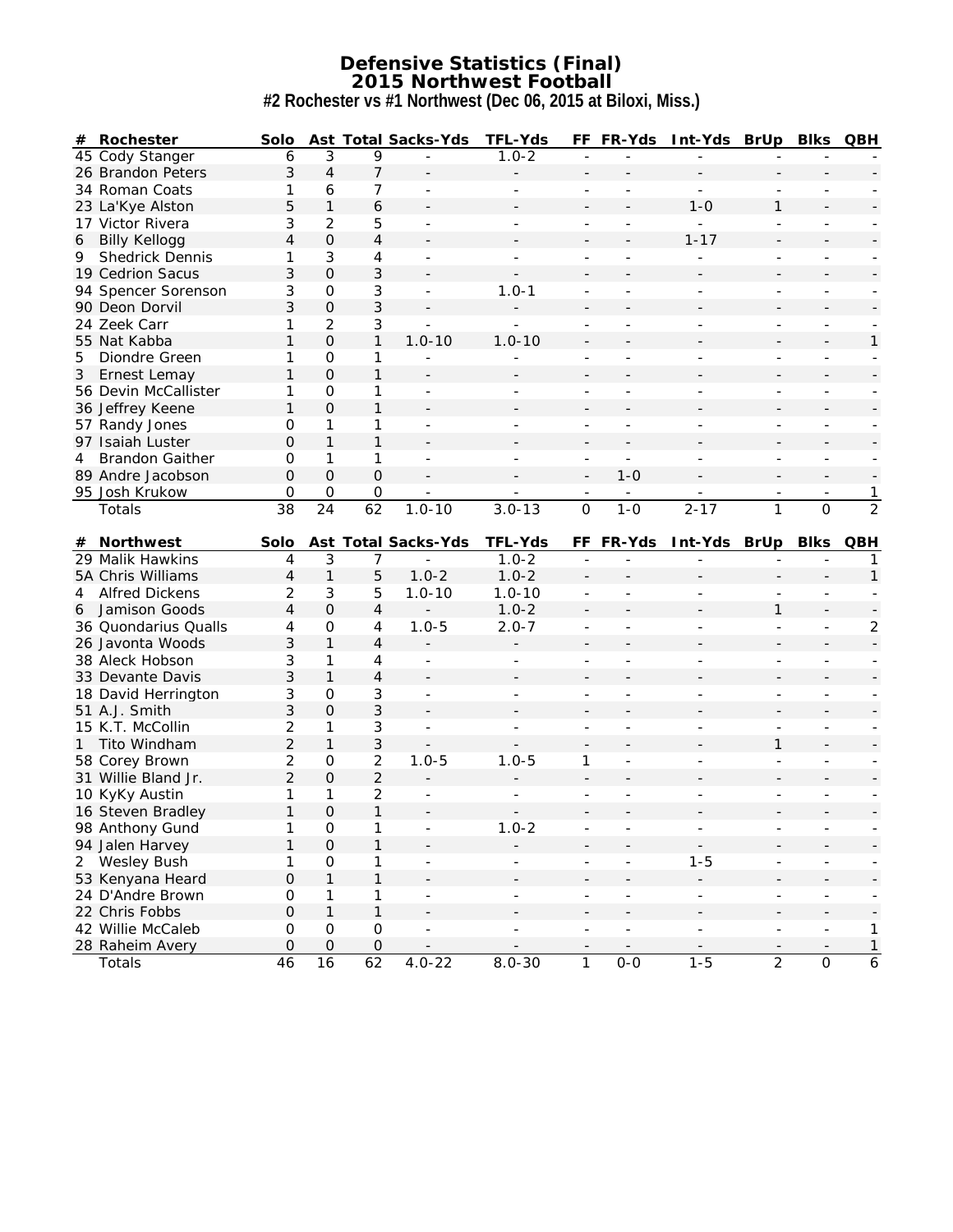#### **Defensive Statistics (Final) 2015 Northwest Football #2 Rochester vs #1 Northwest (Dec 06, 2015 at Biloxi, Miss.)**

| #         | Rochester              | Solo                |                     |                     | Ast Total Sacks-Yds      | TFL-Yds                  |                          | FF FR-Yds                | Int-Yds BrUp             |                          | <b>Blks</b>              | QBH            |
|-----------|------------------------|---------------------|---------------------|---------------------|--------------------------|--------------------------|--------------------------|--------------------------|--------------------------|--------------------------|--------------------------|----------------|
|           | 45 Cody Stanger        | 6                   | 3                   | 9                   |                          | $1.0 - 2$                |                          |                          |                          |                          |                          |                |
|           | 26 Brandon Peters      | 3                   | 4                   | 7                   |                          |                          |                          |                          |                          |                          |                          |                |
|           | 34 Roman Coats         | 1                   | 6                   | 7                   |                          |                          | $\overline{\phantom{a}}$ |                          |                          |                          |                          |                |
|           | 23 La'Kye Alston       | 5                   | $\mathbf{1}$        | 6                   |                          |                          |                          |                          | $1 - 0$                  | 1                        |                          |                |
|           | 17 Victor Rivera       | 3                   | $\overline{2}$      | 5                   |                          |                          | $\overline{\phantom{a}}$ |                          |                          | $\overline{\phantom{a}}$ | $\overline{\phantom{m}}$ |                |
| 6         | <b>Billy Kellogg</b>   | 4                   | $\mathbf{O}$        | $\overline{4}$      |                          |                          |                          |                          | $1 - 17$                 |                          |                          |                |
| 9.        | <b>Shedrick Dennis</b> | 1                   | 3                   | 4                   | $\overline{\phantom{a}}$ | $\sim$                   | $\overline{\phantom{a}}$ | ÷                        | $\overline{\phantom{a}}$ | $\overline{\phantom{a}}$ | $\overline{\phantom{a}}$ |                |
|           | 19 Cedrion Sacus       | 3                   | $\overline{O}$      | 3                   |                          |                          |                          |                          |                          |                          |                          |                |
|           | 94 Spencer Sorenson    | 3                   | $\mathsf O$         | 3                   | $\blacksquare$           | $1.0 - 1$                | $\overline{a}$           |                          |                          | $\overline{\phantom{a}}$ |                          |                |
|           | 90 Deon Dorvil         | 3                   | $\Omega$            | 3                   |                          |                          |                          |                          |                          |                          |                          |                |
|           | 24 Zeek Carr           | 1                   | $\overline{2}$      | 3                   |                          |                          |                          |                          |                          |                          |                          |                |
|           | 55 Nat Kabba           | 1                   | $\Omega$            | 1                   | $1.0 - 10$               | $1.0 - 10$               |                          |                          |                          |                          |                          | 1              |
| 5         | Diondre Green          | 1                   | $\mathbf{O}$        | 1                   |                          |                          |                          |                          |                          | L.                       |                          |                |
|           | 3 Ernest Lemay         | 1                   | $\mathsf{O}\xspace$ | 1                   |                          |                          |                          |                          |                          |                          |                          |                |
|           | 56 Devin McCallister   | 1                   | O                   | 1                   |                          |                          |                          |                          |                          | $\overline{\phantom{a}}$ |                          |                |
|           | 36 Jeffrey Keene       | 1                   | $\Omega$            | $\mathbf{1}$        |                          |                          |                          |                          |                          |                          |                          |                |
|           | 57 Randy Jones         | 0                   | 1                   | 1                   | ÷.                       | $\overline{\phantom{a}}$ | $\overline{\phantom{a}}$ |                          | $\overline{\phantom{a}}$ | $\overline{\phantom{a}}$ | $\overline{\phantom{a}}$ |                |
|           | 97 Isaiah Luster       | 0                   | $\mathbf{1}$        | 1                   |                          |                          |                          |                          |                          |                          |                          |                |
| 4         | <b>Brandon Gaither</b> | $\mathsf{O}$        | 1                   | 1                   | $\sim$                   |                          | $\sim$                   | $\overline{a}$           |                          | $\sim$                   |                          |                |
|           | 89 Andre Jacobson      | $\mathbf 0$         | $\overline{O}$      | $\overline{O}$      |                          |                          | $\blacksquare$           | $1 - 0$                  |                          |                          |                          |                |
|           | 95 Josh Krukow         | O                   | 0                   | $\mathbf 0$         |                          |                          |                          |                          |                          |                          |                          | 1              |
|           | Totals                 | $\overline{38}$     | $\overline{24}$     | 62                  | $1.0 - 10$               | $3.0 - 13$               | $\mathbf{O}$             | $1-0$                    | $2 - 17$                 | $\overline{1}$           | $\overline{0}$           | $\overline{2}$ |
|           |                        |                     |                     |                     |                          |                          |                          |                          |                          |                          |                          |                |
|           | # Northwest            | Solo                |                     |                     | Ast Total Sacks-Yds      | TFL-Yds                  | FF                       | FR-Yds                   | Int-Yds BrUp             |                          | <b>Blks</b>              | QBH            |
|           | 29 Malik Hawkins       | 4                   | 3                   | $\overline{7}$      |                          | $1.0 - 2$                |                          |                          |                          |                          |                          | 1              |
|           | 5A Chris Williams      | 4                   | $\mathbf{1}$        | 5                   | $1.0 - 2$                | $1.0 - 2$                | $\overline{\phantom{a}}$ |                          |                          |                          |                          | $\mathbf{1}$   |
| 4         | <b>Alfred Dickens</b>  | 2                   | 3                   | 5                   | $1.0 - 10$               | $1.0 - 10$               | $\overline{\phantom{a}}$ | L.                       |                          | $\overline{\phantom{a}}$ | $\overline{\phantom{a}}$ |                |
|           | Jamison Goods          | 4                   | $\overline{O}$      | $\overline{4}$      |                          | $1.0 - 2$                |                          |                          |                          | $\mathbf{1}$             |                          |                |
| 6         | 36 Quondarius Qualls   | 4                   | $\mathsf O$         | 4                   | $1.0 - 5$                | $2.0 - 7$                | $\equiv$                 |                          |                          | $\overline{\phantom{a}}$ | $\blacksquare$           | $\overline{2}$ |
|           |                        | 3                   | $\mathbf{1}$        | $\overline{4}$      |                          |                          |                          |                          |                          |                          |                          |                |
|           | 26 Javonta Woods       |                     |                     |                     |                          |                          |                          |                          |                          |                          |                          |                |
|           | 38 Aleck Hobson        | 3                   | 1<br>$\mathbf{1}$   | 4                   |                          |                          |                          |                          |                          |                          |                          |                |
|           | 33 Devante Davis       | 3                   |                     | $\overline{4}$      |                          |                          |                          |                          |                          |                          |                          |                |
|           | 18 David Herrington    | 3                   | $\mathsf O$         | 3                   | $\overline{a}$           |                          |                          |                          |                          |                          |                          |                |
|           | 51 A.J. Smith          | 3                   | $\overline{O}$      | 3                   |                          |                          |                          |                          |                          |                          |                          |                |
|           | 15 K.T. McCollin       | 2                   | 1                   | 3                   |                          |                          |                          |                          |                          |                          |                          |                |
| $1 \quad$ | Tito Windham           | $\overline{2}$      | $\mathbf{1}$        | 3                   |                          |                          |                          |                          |                          | $\mathbf{1}$             |                          |                |
|           | 58 Corey Brown         | 2                   | 0                   | $\overline{2}$      | $1.0 - 5$                | $1.0 - 5$                | 1                        | $\overline{\phantom{a}}$ |                          | $\sim$                   | $\overline{\phantom{a}}$ |                |
|           | 31 Willie Bland Jr.    | $\overline{2}$      | $\mathbf 0$         | $\overline{2}$      |                          |                          |                          |                          |                          |                          |                          |                |
|           | 10 KyKy Austin         | 1                   | 1                   | $\overline{2}$      |                          |                          |                          |                          |                          | $\overline{\phantom{a}}$ |                          |                |
|           | 16 Steven Bradley      | 1                   | $\Omega$            | $\mathbf{1}$        |                          |                          |                          |                          |                          |                          |                          |                |
|           | 98 Anthony Gund        | 1                   | 0                   | 1                   |                          | $1.0 - 2$                |                          |                          |                          |                          |                          |                |
|           | 94 Jalen Harvey        | 1                   | $\mathsf{O}$        | 1                   |                          |                          |                          |                          | $\overline{\phantom{a}}$ |                          |                          |                |
|           | 2 Wesley Bush          | 1                   | $\mathsf O$         | 1                   | $\overline{\phantom{a}}$ | $\overline{\phantom{a}}$ | $\overline{\phantom{a}}$ |                          | $1 - 5$                  | $\overline{\phantom{a}}$ | $\overline{\phantom{a}}$ |                |
|           | 53 Kenyana Heard       | $\mathsf{O}\xspace$ | $\mathbf{1}$        | 1                   |                          |                          |                          |                          |                          |                          | $\overline{\phantom{a}}$ |                |
|           | 24 D'Andre Brown       | 0                   | 1                   | 1                   |                          |                          |                          |                          | $\overline{\phantom{a}}$ | $\overline{\phantom{a}}$ | $\overline{\phantom{a}}$ |                |
|           | 22 Chris Fobbs         | $\mathsf{O}\xspace$ | $\mathbf{1}$        | $\mathbf{1}$        |                          |                          |                          |                          | $\overline{\phantom{a}}$ |                          | $\overline{\phantom{a}}$ |                |
|           | 42 Willie McCaleb      | 0                   | $\mathsf{O}\xspace$ | $\mathsf{O}\xspace$ | $\overline{\phantom{0}}$ | $\overline{\phantom{a}}$ |                          | $\overline{a}$           | $\overline{\phantom{a}}$ | $\overline{\phantom{a}}$ | $\overline{\phantom{a}}$ | 1              |
|           | 28 Raheim Avery        | 0                   | 0                   | $\overline{0}$      |                          |                          |                          |                          |                          |                          |                          | $\mathbf 1$    |
|           | Totals                 | 46                  | 16                  | 62                  | $4.0 - 22$               | $8.0 - 30$               | $\mathbf{1}$             | $0-0$                    | $1 - 5$                  | $\overline{2}$           | $\overline{0}$           | $\overline{6}$ |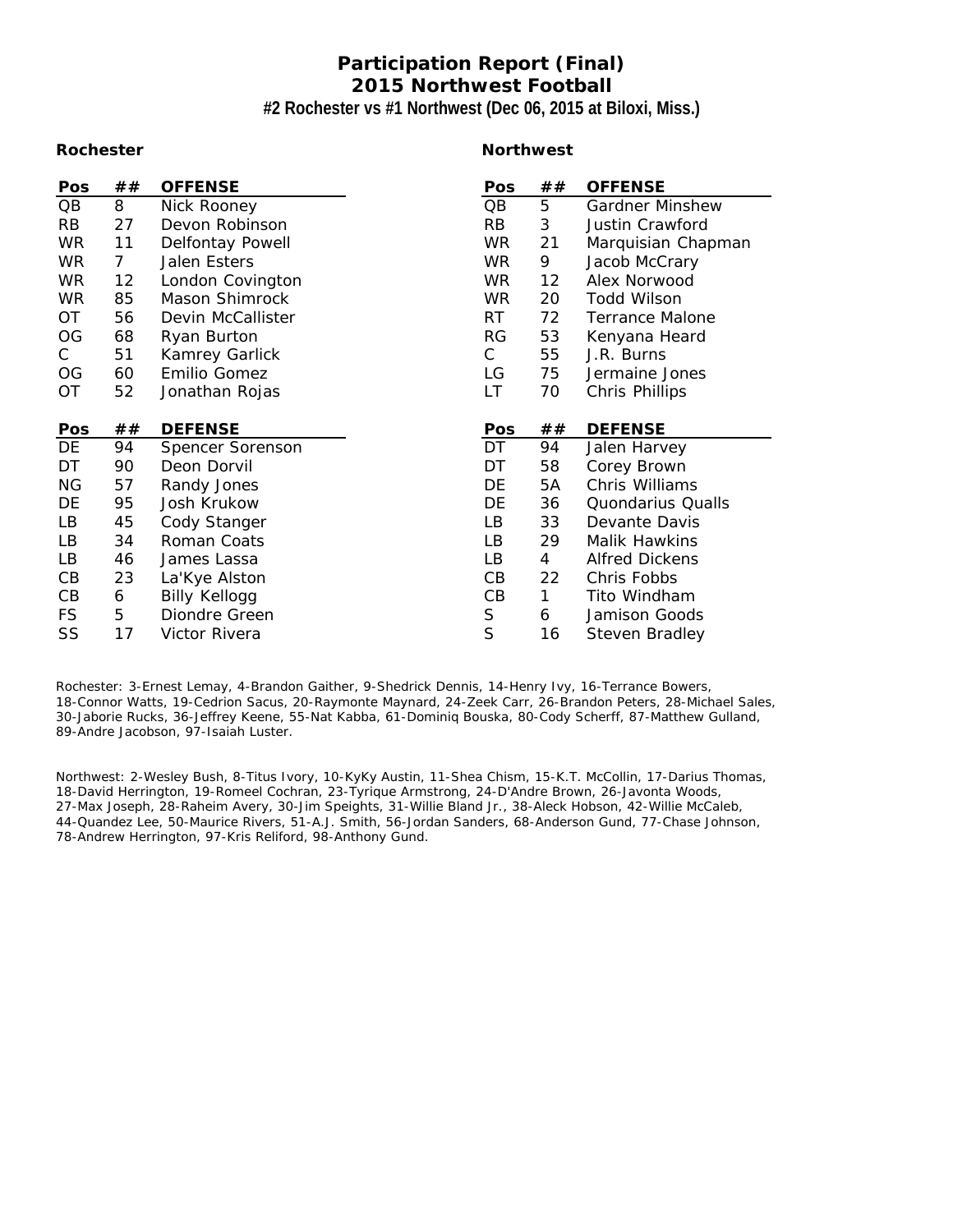## **Participation Report (Final) 2015 Northwest Football #2 Rochester vs #1 Northwest (Dec 06, 2015 at Biloxi, Miss.)**

#### **Rochester**

#### **Northwest**

| Po <sub>s</sub> | ##             | <b>OFFENSE</b>       | <b>Pos</b>   | ## | <b>OFFENSE</b>         |
|-----------------|----------------|----------------------|--------------|----|------------------------|
| QB              | 8              | Nick Rooney          | QB           | 5  | Gardner Minshew        |
| RB              | 27             | Devon Robinson       | <b>RB</b>    | 3  | Justin Crawford        |
| <b>WR</b>       | 11             | Delfontay Powell     | WR.          | 21 | Marquisian Chapman     |
| <b>WR</b>       | 7 <sup>7</sup> | Jalen Esters         | <b>WR</b>    | 9  | Jacob McCrary          |
| <b>WR</b>       | 12             | London Covington     | WR.          | 12 | Alex Norwood           |
| <b>WR</b>       | 85             | Mason Shimrock       | <b>WR</b>    | 20 | Todd Wilson            |
| ОT              | 56             | Devin McCallister    | <b>RT</b>    | 72 | <b>Terrance Malone</b> |
| OG              | 68             | Ryan Burton          | <b>RG</b>    | 53 | Kenyana Heard          |
| С               | 51             | Kamrey Garlick       | $\mathsf{C}$ | 55 | J.R. Burns             |
| OG              | 60             | Emilio Gomez         | LG           | 75 | Jermaine Jones         |
| ОT              | 52             | Jonathan Rojas       | LT           | 70 | Chris Phillips         |
|                 |                |                      |              |    |                        |
| Pos             | ##             | <b>DEFENSE</b>       | Pos          | ## | <b>DEFENSE</b>         |
|                 |                |                      |              | 94 | Jalen Harvey           |
| DE              | 94             | Spencer Sorenson     | DT           |    |                        |
| DT              | 90             | Deon Dorvil          | DT           | 58 | Corey Brown            |
| ΝG              | 57             | Randy Jones          | DE           | 5A | Chris Williams         |
| DE              | 95             | Josh Krukow          | DE           | 36 | Quondarius Qualls      |
| LB              | 45             | Cody Stanger         | LB           | 33 | Devante Davis          |
| LB              | 34             | Roman Coats          | LB           | 29 | Malik Hawkins          |
| LB              | 46             | James Lassa          | LB           | 4  | <b>Alfred Dickens</b>  |
| CB              | 23             | La'Kye Alston        | CB           | 22 | Chris Fobbs            |
| CB              | 6              | <b>Billy Kellogg</b> | CB           | 1  | Tito Windham           |
| <b>FS</b>       | 5              | Diondre Green        | $\mathsf S$  | 6  | Jamison Goods          |

Rochester: 3-Ernest Lemay, 4-Brandon Gaither, 9-Shedrick Dennis, 14-Henry Ivy, 16-Terrance Bowers, 18-Connor Watts, 19-Cedrion Sacus, 20-Raymonte Maynard, 24-Zeek Carr, 26-Brandon Peters, 28-Michael Sales, 30-Jaborie Rucks, 36-Jeffrey Keene, 55-Nat Kabba, 61-Dominiq Bouska, 80-Cody Scherff, 87-Matthew Gulland, 89-Andre Jacobson, 97-Isaiah Luster.

Northwest: 2-Wesley Bush, 8-Titus Ivory, 10-KyKy Austin, 11-Shea Chism, 15-K.T. McCollin, 17-Darius Thomas, 18-David Herrington, 19-Romeel Cochran, 23-Tyrique Armstrong, 24-D'Andre Brown, 26-Javonta Woods, 27-Max Joseph, 28-Raheim Avery, 30-Jim Speights, 31-Willie Bland Jr., 38-Aleck Hobson, 42-Willie McCaleb, 44-Quandez Lee, 50-Maurice Rivers, 51-A.J. Smith, 56-Jordan Sanders, 68-Anderson Gund, 77-Chase Johnson, 78-Andrew Herrington, 97-Kris Reliford, 98-Anthony Gund.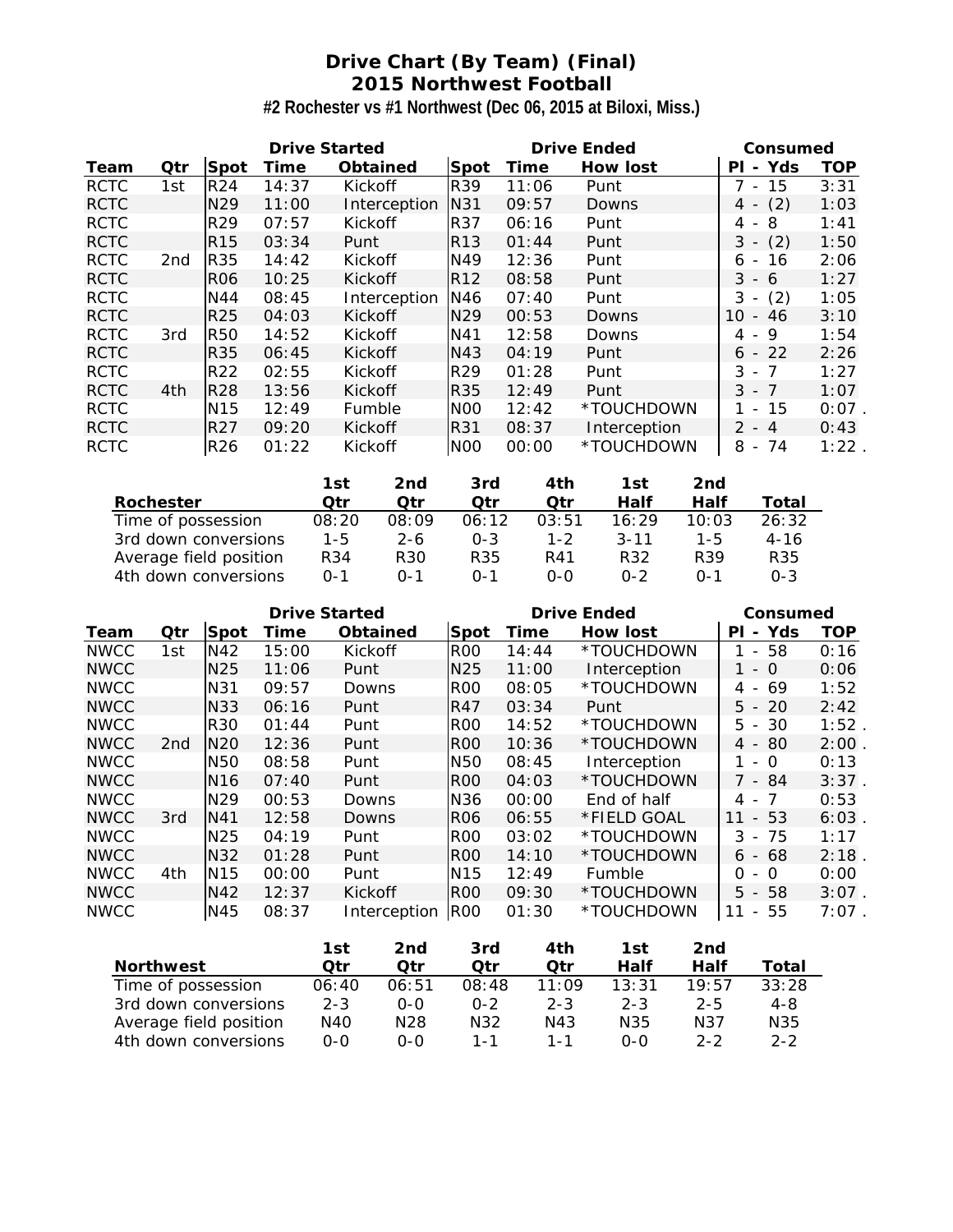# **Drive Chart (By Team) (Final) 2015 Northwest Football #2 Rochester vs #1 Northwest (Dec 06, 2015 at Biloxi, Miss.)**

|             |     |                 | Drive Started |              |                 | Drive Ended | Consumed     |                                      |            |
|-------------|-----|-----------------|---------------|--------------|-----------------|-------------|--------------|--------------------------------------|------------|
| Team        | Qtr | Spot            | Time          | Obtained     | Spot            | Time        | How lost     | Yds<br>ΡI<br>$\overline{a}$          | <b>TOP</b> |
| <b>RCTC</b> | 1st | R <sub>24</sub> | 14:37         | Kickoff      | R39             | 11:06       | Punt         | 15<br>$\overline{\phantom{a}}$       | 3:31       |
| <b>RCTC</b> |     | N <sub>29</sub> | 11:00         | Interception | N31             | 09:57       | Downs        | (2)<br>4                             | 1:03       |
| <b>RCTC</b> |     | R <sub>29</sub> | 07:57         | Kickoff      | R37             | 06:16       | Punt         | 8<br>4<br>$\overline{\phantom{a}}$   | 1:41       |
| <b>RCTC</b> |     | R <sub>15</sub> | 03:34         | Punt         | R <sub>13</sub> | 01:44       | Punt         | (2)<br>$3 -$                         | 1:50       |
| <b>RCTC</b> | 2nd | <b>R35</b>      | 14:42         | Kickoff      | N49             | 12:36       | Punt         | 16<br>6 -                            | 2:06       |
| <b>RCTC</b> |     | <b>RO6</b>      | 10:25         | Kickoff      | R <sub>12</sub> | 08:58       | Punt         | $3 - 6$                              | 1:27       |
| <b>RCTC</b> |     | N44             | 08:45         | Interception | N46             | 07:40       | Punt         | (2)<br>3<br>$\overline{\phantom{a}}$ | 1:05       |
| <b>RCTC</b> |     | <b>R25</b>      | 04:03         | Kickoff      | N <sub>29</sub> | 00:53       | Downs        | 10<br>- 46                           | 3:10       |
| <b>RCTC</b> | 3rd | <b>R50</b>      | 14:52         | Kickoff      | N41             | 12:58       | Downs        | -9<br>4 -                            | 1:54       |
| <b>RCTC</b> |     | <b>R35</b>      | 06:45         | Kickoff      | N43             | 04:19       | Punt         | $6 - 22$                             | 2:26       |
| <b>RCTC</b> |     | <b>R22</b>      | 02:55         | Kickoff      | R29             | 01:28       | Punt         | 3<br>$-7$                            | 1:27       |
| <b>RCTC</b> | 4th | <b>R28</b>      | 13:56         | Kickoff      | <b>R35</b>      | 12:49       | Punt         | $3 - 7$                              | 1:07       |
| <b>RCTC</b> |     | N <sub>15</sub> | 12:49         | Fumble       | N <sub>00</sub> | 12:42       | *TOUCHDOWN   | 15<br>$1 -$                          | 0:07       |
| <b>RCTC</b> |     | R27             | 09:20         | Kickoff      | R31             | 08:37       | Interception | $2 - 4$                              | 0:43       |
| <b>RCTC</b> |     | <b>R26</b>      | 01:22         | Kickoff      | N <sub>00</sub> | 00:00       | *TOUCHDOWN   | 8<br>74<br>$\overline{\phantom{a}}$  | 1:22       |

|                        | 1st     | 2nd             | 3rd     | 4th     | 1st      | 2nd   |          |
|------------------------|---------|-----------------|---------|---------|----------|-------|----------|
| Rochester              | ∩tr     | ∩tr             | ∩tr     | ∩tr     | Half     | Half  | Total    |
| Time of possession     | 08:20   | 08: 09          | 06:12   | 03:51   | 16:29    | 10:03 | 26:32    |
| 3rd down conversions   | $1 - 5$ | $2-6$           | $O - 3$ | $1 - 2$ | $3 - 11$ | 1-5   | $4 - 16$ |
| Average field position | R34     | R <sub>30</sub> | R35     | R41     | R32      | R39   | R35      |
| 4th down conversions   | $0 - 1$ | ∩−1             | $0 - 1$ | $O-O$   | $0-2$    | ∩−1   | $0 - 3$  |

|             |     | Drive Started   |       |              |                 | <b>Drive Ended</b> | Consumed     |                                       |            |
|-------------|-----|-----------------|-------|--------------|-----------------|--------------------|--------------|---------------------------------------|------------|
| Team        | Qtr | Spot            | Time  | Obtained     | Spot            | Time               | How lost     | Yds<br>PI<br>$\overline{\phantom{0}}$ | <b>TOP</b> |
| <b>NWCC</b> | 1st | N42             | 15:00 | Kickoff      | R <sub>00</sub> | 14:44              | *TOUCHDOWN   | 58<br>$\overline{\phantom{a}}$        | 0:16       |
| <b>NWCC</b> |     | N <sub>25</sub> | 11:06 | Punt         | N25             | 11:00              | Interception | - 0                                   | 0:06       |
| <b>NWCC</b> |     | N31             | 09:57 | Downs        | <b>ROO</b>      | 08:05              | *TOUCHDOWN   | 69<br>4 -                             | 1:52       |
| <b>NWCC</b> |     | N33             | 06:16 | Punt         | R47             | 03:34              | Punt         | 20<br>5 -                             | 2:42       |
| <b>NWCC</b> |     | <b>R30</b>      | 01:44 | Punt         | R <sub>00</sub> | 14:52              | *TOUCHDOWN   | 30<br>5<br>$\overline{\phantom{a}}$   | 1:52       |
| <b>NWCC</b> | 2nd | N <sub>20</sub> | 12:36 | Punt         | R <sub>00</sub> | 10:36              | *TOUCHDOWN   | 80<br>4 -                             | 2:00       |
| <b>NWCC</b> |     | <b>N50</b>      | 08:58 | Punt         | <b>N50</b>      | 08:45              | Interception | $\Omega$<br>$\overline{\phantom{a}}$  | 0:13       |
| <b>NWCC</b> |     | N <sub>16</sub> | 07:40 | Punt         | R <sub>00</sub> | 04:03              | *TOUCHDOWN   | 7 - 84                                | $3:37$ .   |
| <b>NWCC</b> |     | N <sub>29</sub> | 00:53 | Downs        | N <sub>36</sub> | 00:00              | End of half  | -7<br>4 -                             | 0:53       |
| <b>NWCC</b> | 3rd | N41             | 12:58 | Downs        | R <sub>06</sub> | 06:55              | *FIELD GOAL  | 53<br>11<br>$\sim$                    | 6:03       |
| <b>NWCC</b> |     | N <sub>25</sub> | 04:19 | Punt         | R <sub>00</sub> | 03:02              | *TOUCHDOWN   | 3<br>75<br>$\overline{\phantom{a}}$   | 1:17       |
| <b>NWCC</b> |     | N32             | 01:28 | Punt         | ROO             | 14:10              | *TOUCHDOWN   | 68<br>6 -                             | 2:18       |
| <b>NWCC</b> | 4th | N <sub>15</sub> | 00:00 | Punt         | N <sub>15</sub> | 12:49              | Fumble       | $\Omega$<br>- 0                       | 0:00       |
| <b>NWCC</b> |     | N42             | 12:37 | Kickoff      | <b>ROO</b>      | 09:30              | *TOUCHDOWN   | $5 - 58$                              | $3:07$ .   |
| <b>NWCC</b> |     | N45             | 08:37 | Interception | R <sub>00</sub> | 01:30              | *TOUCHDOWN   | 55<br>$\overline{\phantom{0}}$        | $7:07$ .   |

|                        | 1st     | 2nd   | 3rd     | 4th     | 1st     | 2nd     |         |
|------------------------|---------|-------|---------|---------|---------|---------|---------|
| <b>Northwest</b>       | ∩tr     | ∩tr   | ∩tr     | ∩tr     | Half    | Half    | Total   |
| Time of possession     | 06:40   | 06:51 | 08:48   | 11:09   | 13:31   | 19:57   | 33:28   |
| 3rd down conversions   | $2 - 3$ | $O-O$ | $O - 2$ | $2 - 3$ | $2 - 3$ | $2 - 5$ | 4-8     |
| Average field position | N40.    | N28   | N32     | N43     | N35     | N37     | N35     |
| 4th down conversions   | $0 - 0$ | 0-0   | $1 - 1$ | 1 - 1   | $O-O$   | $2 - 2$ | $2 - 2$ |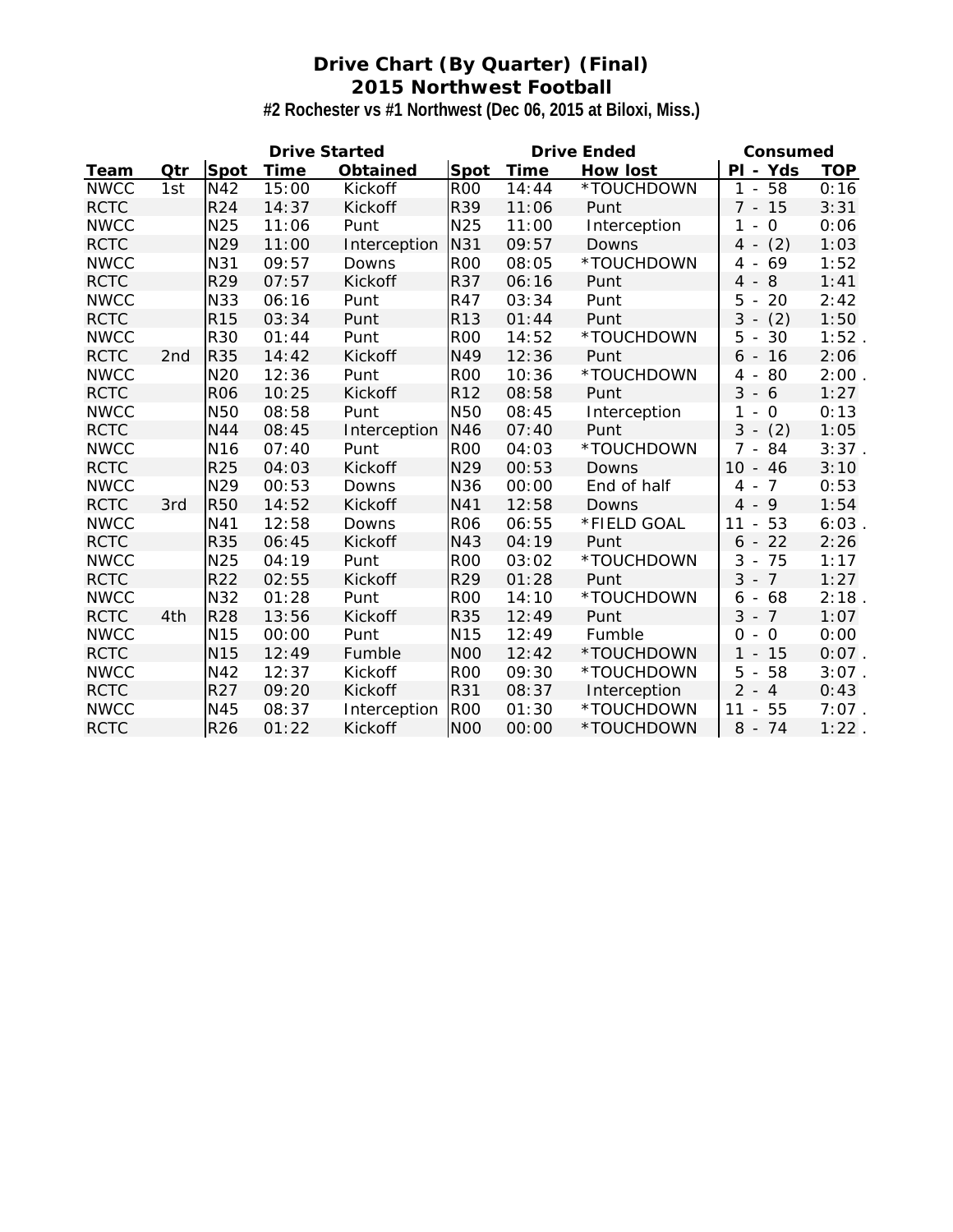# **Drive Chart (By Quarter) (Final) 2015 Northwest Football #2 Rochester vs #1 Northwest (Dec 06, 2015 at Biloxi, Miss.)**

|             |     |                 | <b>Drive Started</b> |              |                  | Drive Ended | Consumed     |                                                            |            |
|-------------|-----|-----------------|----------------------|--------------|------------------|-------------|--------------|------------------------------------------------------------|------------|
| Team        | Qtr | Spot            | Time                 | Obtained     | Spot             | Time        | How lost     | PI - Yds                                                   | <b>TOP</b> |
| <b>NWCC</b> | 1st | N42             | 15:00                | Kickoff      | R <sub>00</sub>  | 14:44       | *TOUCHDOWN   | 58<br>1<br>$\overline{\phantom{a}}$                        | 0:16       |
| <b>RCTC</b> |     | <b>R24</b>      | 14:37                | Kickoff      | <b>R39</b>       | 11:06       | Punt         | $7 - 15$                                                   | 3:31       |
| <b>NWCC</b> |     | N25             | 11:06                | Punt         | N25              | 11:00       | Interception | $\mathbf{1}$<br>$\overline{O}$<br>$\overline{\phantom{a}}$ | 0:06       |
| <b>RCTC</b> |     | N29             | 11:00                | Interception | <b>N31</b>       | 09:57       | Downs        | $4 - (2)$                                                  | 1:03       |
| <b>NWCC</b> |     | N31             | 09:57                | Downs        | <b>R00</b>       | 08:05       | *TOUCHDOWN   | 69<br>4<br>$\overline{\phantom{a}}$                        | 1:52       |
| <b>RCTC</b> |     | R29             | 07:57                | Kickoff      | <b>R37</b>       | 06:16       | Punt         | 8<br>$\overline{4}$<br>$\overline{\phantom{a}}$            | 1:41       |
| <b>NWCC</b> |     | N33             | 06:16                | Punt         | <b>R47</b>       | 03:34       | Punt         | 20<br>5<br>$\sim$                                          | 2:42       |
| <b>RCTC</b> |     | <b>R15</b>      | 03:34                | Punt         | R13              | 01:44       | Punt         | 3<br>(2)<br>$\overline{\phantom{a}}$                       | 1:50       |
| <b>NWCC</b> |     | <b>R30</b>      | 01:44                | Punt         | <b>ROO</b>       | 14:52       | *TOUCHDOWN   | 5<br>30<br>$\overline{\phantom{a}}$                        | 1:52       |
| <b>RCTC</b> | 2nd | <b>R35</b>      | 14:42                | Kickoff      | N49              | 12:36       | Punt         | 16<br>$6 -$                                                | 2:06       |
| <b>NWCC</b> |     | N <sub>20</sub> | 12:36                | Punt         | <b>ROO</b>       | 10:36       | *TOUCHDOWN   | 80<br>$\overline{4}$<br>$\overline{\phantom{a}}$           | 2:00       |
| <b>RCTC</b> |     | <b>R06</b>      | 10:25                | Kickoff      | R <sub>12</sub>  | 08:58       | Punt         | 3<br>$-6$                                                  | 1:27       |
| <b>NWCC</b> |     | <b>N50</b>      | 08:58                | Punt         | <b>N50</b>       | 08:45       | Interception | 1<br>$\mathcal{O}$<br>$\overline{\phantom{a}}$             | 0:13       |
| <b>RCTC</b> |     | N44             | 08:45                | Interception | N46              | 07:40       | Punt         | 3<br>(2)<br>$\overline{\phantom{a}}$                       | 1:05       |
| <b>NWCC</b> |     | N <sub>16</sub> | 07:40                | Punt         | <b>R00</b>       | 04:03       | *TOUCHDOWN   | $7 -$<br>84                                                | 3:37.      |
| <b>RCTC</b> |     | <b>R25</b>      | 04:03                | Kickoff      | N29              | 00:53       | Downs        | $10 - 46$                                                  | 3:10       |
| <b>NWCC</b> |     | N29             | 00:53                | Downs        | N36              | 00:00       | End of half  | 7<br>4<br>$\overline{\phantom{a}}$                         | 0:53       |
| <b>RCTC</b> | 3rd | <b>R50</b>      | 14:52                | Kickoff      | N41              | 12:58       | Downs        | $4 -$<br>9                                                 | 1:54       |
| <b>NWCC</b> |     | N41             | 12:58                | Downs        | <b>R06</b>       | 06:55       | *FIELD GOAL  | 11<br>53<br>$\overline{\phantom{a}}$                       | 6:03       |
| <b>RCTC</b> |     | <b>R35</b>      | 06:45                | Kickoff      | N43              | 04:19       | Punt         | 22<br>6<br>$\overline{\phantom{a}}$                        | 2:26       |
| <b>NWCC</b> |     | N25             | 04:19                | Punt         | <b>ROO</b>       | 03:02       | *TOUCHDOWN   | 3<br>75<br>$\overline{\phantom{a}}$                        | 1:17       |
| <b>RCTC</b> |     | <b>R22</b>      | 02:55                | Kickoff      | <b>R29</b>       | 01:28       | Punt         | 3<br>$-7$                                                  | 1:27       |
| <b>NWCC</b> |     | N32             | 01:28                | Punt         | <b>ROO</b>       | 14:10       | *TOUCHDOWN   | 6<br>68<br>$\overline{\phantom{a}}$                        | 2:18       |
| <b>RCTC</b> | 4th | <b>R28</b>      | 13:56                | Kickoff      | <b>R35</b>       | 12:49       | Punt         | 3<br>$-7$                                                  | 1:07       |
| <b>NWCC</b> |     | N <sub>15</sub> | 00:00                | Punt         | N <sub>15</sub>  | 12:49       | Fumble       | $\overline{O}$<br>0<br>$\overline{\phantom{a}}$            | 0:00       |
| <b>RCTC</b> |     | N15             | 12:49                | Fumble       | N <sub>00</sub>  | 12:42       | *TOUCHDOWN   | 1<br>15<br>$\overline{\phantom{a}}$                        | $0:07$ .   |
| <b>NWCC</b> |     | N42             | 12:37                | Kickoff      | <b>ROO</b>       | 09:30       | *TOUCHDOWN   | 5<br>58<br>$\overline{\phantom{a}}$                        | $3:07$ .   |
| <b>RCTC</b> |     | R <sub>27</sub> | 09:20                | Kickoff      | R31              | 08:37       | Interception | $2 - 4$                                                    | 0:43       |
| <b>NWCC</b> |     | N45             | 08:37                | Interception | <b>R00</b>       | 01:30       | *TOUCHDOWN   | 55<br>11<br>$\blacksquare$                                 | $7:07$ .   |
| <b>RCTC</b> |     | <b>R26</b>      | 01:22                | Kickoff      | N <sub>O</sub> O | 00:00       | *TOUCHDOWN   | $-74$<br>8                                                 | $1:22$ .   |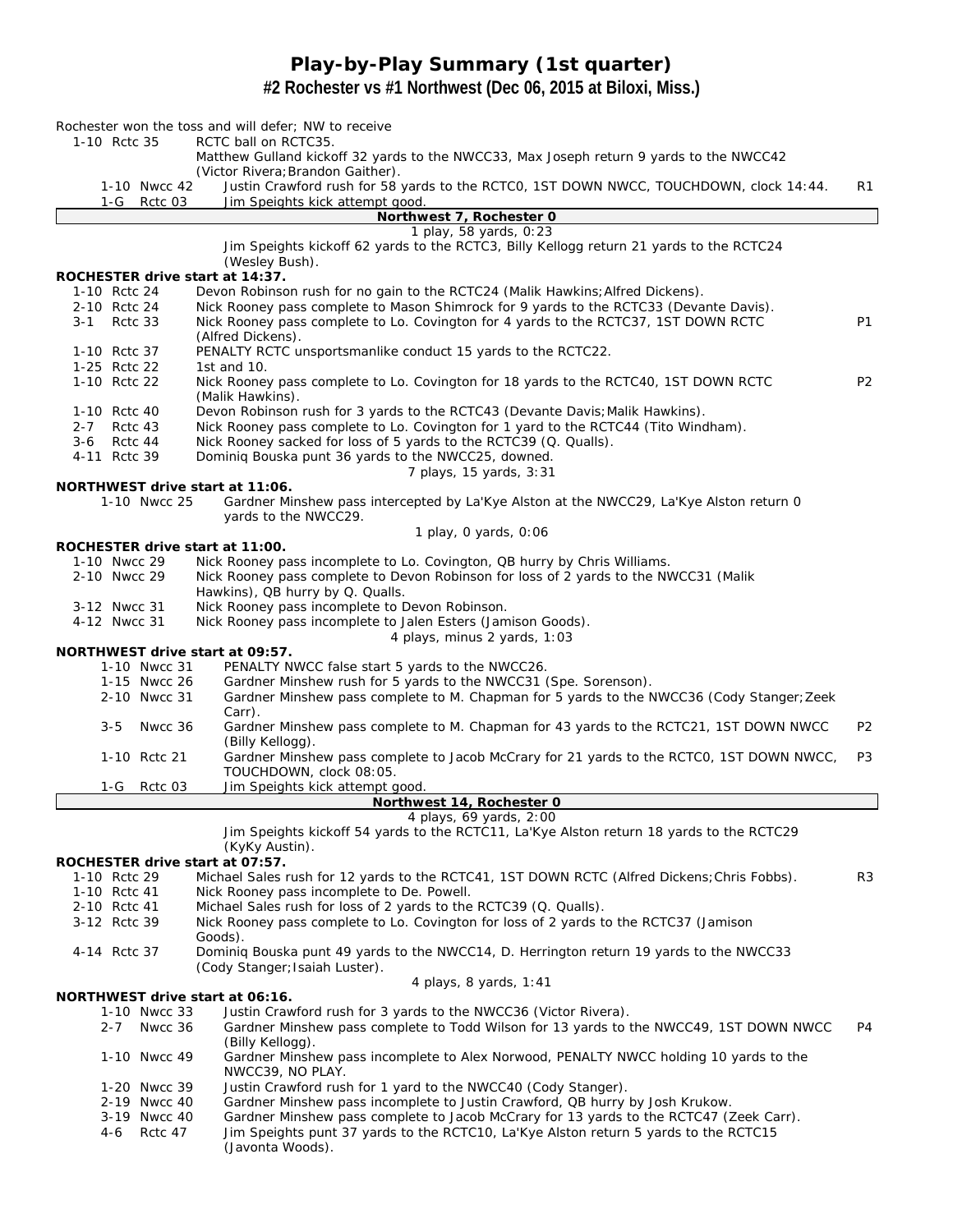# **Play-by-Play Summary (1st quarter) #2 Rochester vs #1 Northwest (Dec 06, 2015 at Biloxi, Miss.)**

|                                                 | Rochester won the toss and will defer; NW to receive                                                                                                                          |                |
|-------------------------------------------------|-------------------------------------------------------------------------------------------------------------------------------------------------------------------------------|----------------|
| 1-10 Rete 35                                    | RCTC ball on RCTC35.                                                                                                                                                          |                |
|                                                 | Matthew Gulland kickoff 32 yards to the NWCC33, Max Joseph return 9 yards to the NWCC42                                                                                       |                |
| 1-10 Nwcc 42                                    | (Victor Rivera; Brandon Gaither).                                                                                                                                             | R1             |
| 1-G Rctc 03                                     | Justin Crawford rush for 58 yards to the RCTCO, 1ST DOWN NWCC, TOUCHDOWN, clock 14:44.<br>Jim Speights kick attempt good.                                                     |                |
|                                                 | Northwest 7, Rochester 0                                                                                                                                                      |                |
|                                                 | 1 play, 58 yards, 0:23                                                                                                                                                        |                |
|                                                 | Jim Speights kickoff 62 yards to the RCTC3, Billy Kellogg return 21 yards to the RCTC24                                                                                       |                |
|                                                 | (Wesley Bush).                                                                                                                                                                |                |
| ROCHESTER drive start at 14:37.                 |                                                                                                                                                                               |                |
| 1-10 Rctc 24                                    | Devon Robinson rush for no gain to the RCTC24 (Malik Hawkins; Alfred Dickens).                                                                                                |                |
| 2-10 Rctc 24<br>Rctc 33<br>$3 - 1$              | Nick Rooney pass complete to Mason Shimrock for 9 yards to the RCTC33 (Devante Davis).<br>Nick Rooney pass complete to Lo. Covington for 4 yards to the RCTC37, 1ST DOWN RCTC | P1             |
|                                                 | (Alfred Dickens).                                                                                                                                                             |                |
| 1-10 Rctc 37                                    | PENALTY RCTC unsportsmanlike conduct 15 yards to the RCTC22.                                                                                                                  |                |
| 1-25 Rctc 22                                    | 1st and 10.                                                                                                                                                                   |                |
| 1-10 Rctc 22                                    | Nick Rooney pass complete to Lo. Covington for 18 yards to the RCTC40, 1ST DOWN RCTC                                                                                          | P <sub>2</sub> |
|                                                 | (Malik Hawkins).                                                                                                                                                              |                |
| 1-10 Rctc 40                                    | Devon Robinson rush for 3 yards to the RCTC43 (Devante Davis; Malik Hawkins).                                                                                                 |                |
| Rctc 43<br>$2 - 7$<br>Rctc 44                   | Nick Rooney pass complete to Lo. Covington for 1 yard to the RCTC44 (Tito Windham).<br>Nick Rooney sacked for loss of 5 yards to the RCTC39 (Q. Qualls).                      |                |
| 3-6<br>4-11 Rctc 39                             | Dominiq Bouska punt 36 yards to the NWCC25, downed.                                                                                                                           |                |
|                                                 | 7 plays, 15 yards, 3:31                                                                                                                                                       |                |
| NORTHWEST drive start at 11:06.                 |                                                                                                                                                                               |                |
| 1-10 Nwcc 25                                    | Gardner Minshew pass intercepted by La'Kye Alston at the NWCC29, La'Kye Alston return 0                                                                                       |                |
|                                                 | vards to the NWCC29.                                                                                                                                                          |                |
|                                                 | 1 play, 0 yards, 0:06                                                                                                                                                         |                |
| ROCHESTER drive start at 11:00.<br>1-10 Nwcc 29 |                                                                                                                                                                               |                |
| 2-10 Nwcc 29                                    | Nick Rooney pass incomplete to Lo. Covington, QB hurry by Chris Williams.<br>Nick Rooney pass complete to Devon Robinson for loss of 2 yards to the NWCC31 (Malik             |                |
|                                                 | Hawkins), QB hurry by Q. Qualls.                                                                                                                                              |                |
| 3-12 Nwcc 31                                    | Nick Rooney pass incomplete to Devon Robinson.                                                                                                                                |                |
| 4-12 Nwcc 31                                    | Nick Rooney pass incomplete to Jalen Esters (Jamison Goods).                                                                                                                  |                |
|                                                 | 4 plays, minus 2 yards, 1:03                                                                                                                                                  |                |
| NORTHWEST drive start at 09:57.                 |                                                                                                                                                                               |                |
| 1-10 Nwcc 31<br>1-15 Nwcc 26                    | PENALTY NWCC false start 5 yards to the NWCC26.<br>Gardner Minshew rush for 5 yards to the NWCC31 (Spe. Sorenson).                                                            |                |
| 2-10 Nwcc 31                                    | Gardner Minshew pass complete to M. Chapman for 5 yards to the NWCC36 (Cody Stanger; Zeek                                                                                     |                |
|                                                 | Carr).                                                                                                                                                                        |                |
| $3 - 5$<br>Nwcc 36                              | Gardner Minshew pass complete to M. Chapman for 43 yards to the RCTC21, 1ST DOWN NWCC                                                                                         | P <sub>2</sub> |
|                                                 | (Billy Kellogg).                                                                                                                                                              |                |
| 1-10 Rctc 21                                    | Gardner Minshew pass complete to Jacob McCrary for 21 yards to the RCTC0, 1ST DOWN NWCC,                                                                                      | P <sub>3</sub> |
|                                                 | TOUCHDOWN, clock 08:05.                                                                                                                                                       |                |
| $1-G$<br>Rctc 03                                | Jim Speights kick attempt good<br>Northwest 14, Rochester 0                                                                                                                   |                |
|                                                 | 4 plays, 69 yards, 2:00                                                                                                                                                       |                |
|                                                 | Jim Speights kickoff 54 yards to the RCTC11, La'Kye Alston return 18 yards to the RCTC29                                                                                      |                |
|                                                 | (KyKy Austin).                                                                                                                                                                |                |
| ROCHESTER drive start at 07:57.                 |                                                                                                                                                                               |                |
| 1-10 Rctc 29                                    | Michael Sales rush for 12 yards to the RCTC41, 1ST DOWN RCTC (Alfred Dickens; Chris Fobbs).                                                                                   | R <sub>3</sub> |
| 1-10 Rctc 41                                    | Nick Rooney pass incomplete to De. Powell.                                                                                                                                    |                |
| 2-10 Rctc 41<br>3-12 Rctc 39                    | Michael Sales rush for loss of 2 yards to the RCTC39 (Q. Qualls).<br>Nick Rooney pass complete to Lo. Covington for loss of 2 yards to the RCTC37 (Jamison                    |                |
|                                                 |                                                                                                                                                                               |                |
| 4-14 Rctc 37                                    |                                                                                                                                                                               |                |
|                                                 | Goods).                                                                                                                                                                       |                |
|                                                 | Dominiq Bouska punt 49 yards to the NWCC14, D. Herrington return 19 yards to the NWCC33<br>(Cody Stanger; Isaiah Luster).                                                     |                |
|                                                 | 4 plays, 8 yards, 1:41                                                                                                                                                        |                |
| NORTHWEST drive start at 06:16.                 |                                                                                                                                                                               |                |
| 1-10 Nwcc 33                                    | Justin Crawford rush for 3 yards to the NWCC36 (Victor Rivera).                                                                                                               |                |
| $2 - 7$<br>Nwcc 36                              | Gardner Minshew pass complete to Todd Wilson for 13 yards to the NWCC49, 1ST DOWN NWCC                                                                                        | P4             |
|                                                 | (Billy Kellogg).                                                                                                                                                              |                |
| 1-10 Nwcc 49                                    | Gardner Minshew pass incomplete to Alex Norwood, PENALTY NWCC holding 10 yards to the<br>NWCC39, NO PLAY.                                                                     |                |
| 1-20 Nwcc 39                                    | Justin Crawford rush for 1 yard to the NWCC40 (Cody Stanger).                                                                                                                 |                |
| 2-19 Nwcc 40                                    | Gardner Minshew pass incomplete to Justin Crawford, QB hurry by Josh Krukow.                                                                                                  |                |
| 3-19 Nwcc 40                                    | Gardner Minshew pass complete to Jacob McCrary for 13 yards to the RCTC47 (Zeek Carr).                                                                                        |                |
| 4-6<br>Rctc 47                                  | Jim Speights punt 37 yards to the RCTC10, La'Kye Alston return 5 yards to the RCTC15<br>(Javonta Woods).                                                                      |                |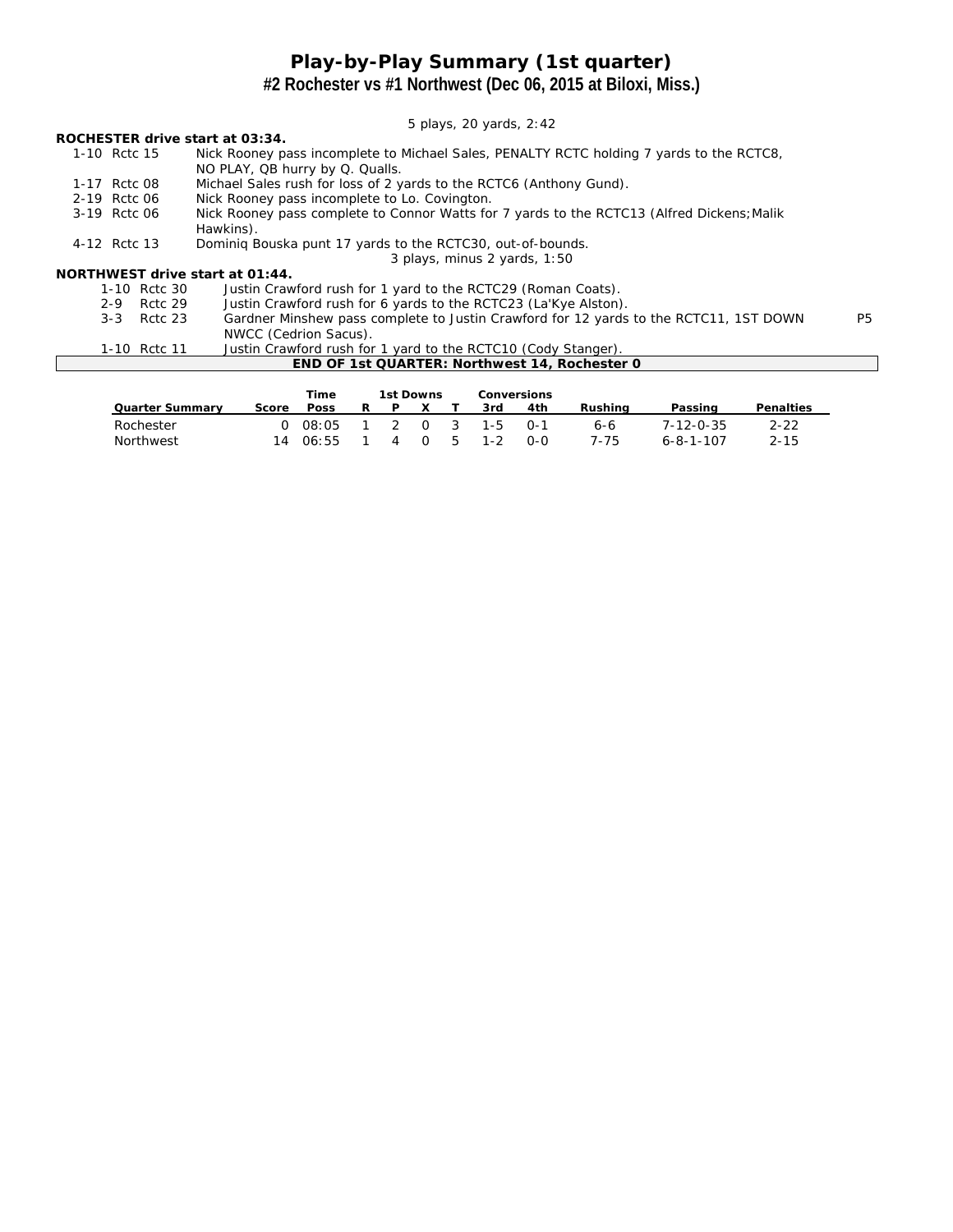## **Play-by-Play Summary (1st quarter) #2 Rochester vs #1 Northwest (Dec 06, 2015 at Biloxi, Miss.)**

|              | 5 plays, 20 yards, 2:42                                                                                                     |     |
|--------------|-----------------------------------------------------------------------------------------------------------------------------|-----|
|              | ROCHESTER drive start at 03:34.                                                                                             |     |
| 1-10 Rctc 15 | Nick Rooney pass incomplete to Michael Sales, PENALTY RCTC holding 7 yards to the RCTC8,<br>NO PLAY, QB hurry by Q. Qualls. |     |
| 1-17 Rctc 08 | Michael Sales rush for loss of 2 yards to the RCTC6 (Anthony Gund).                                                         |     |
| 2-19 Rctc 06 | Nick Rooney pass incomplete to Lo. Covington.                                                                               |     |
| 3-19 Rctc 06 | Nick Rooney pass complete to Connor Watts for 7 yards to the RCTC13 (Alfred Dickens; Malik<br>Hawkins).                     |     |
| 4-12 Rctc 13 | Dominiq Bouska punt 17 yards to the RCTC30, out-of-bounds.                                                                  |     |
|              | 3 plays, minus 2 yards, 1:50                                                                                                |     |
|              | NORTHWEST drive start at 01:44.                                                                                             |     |
| 1-10 Rctc 30 | Justin Crawford rush for 1 yard to the RCTC29 (Roman Coats).                                                                |     |
| $2 - 9$      | Justin Crawford rush for 6 yards to the RCTC23 (La'Kye Alston).<br>Rctc 29                                                  |     |
| $3 - 3$      | Gardner Minshew pass complete to Justin Crawford for 12 yards to the RCTC11, 1ST DOWN<br>Rctc 23<br>NWCC (Cedrion Sacus).   | P5. |
| 1-10 Rctc 11 | Justin Crawford rush for 1 yard to the RCTC10 (Cody Stanger).                                                               |     |
|              | END OF 1st QUARTER: Northwest 14, Rochester 0                                                                               |     |
|              | Times of the Text<br>1et Deurse Conversions                                                                                 |     |

|                 |          | Time  | 1st Downs      |                |     |           | Conversions |         |                   |           |
|-----------------|----------|-------|----------------|----------------|-----|-----------|-------------|---------|-------------------|-----------|
| Quarter Summarv | Score    | Poss  | P              |                |     | 3rd       | 4th         | Rushina | Passing           | Penalties |
| Rochester       | $\Omega$ | 08:05 |                |                |     | 2 0 3 1-5 | ∩-1         | 6-6     | $7 - 12 - 0 - 35$ | $2 - 22$  |
| Northwest       |          | 06:55 | $\overline{A}$ | $\overline{O}$ | - 5 | $1 - 2$   | റ-റ         | 7-75    | $6 - 8 - 1 - 107$ | $2 - 15$  |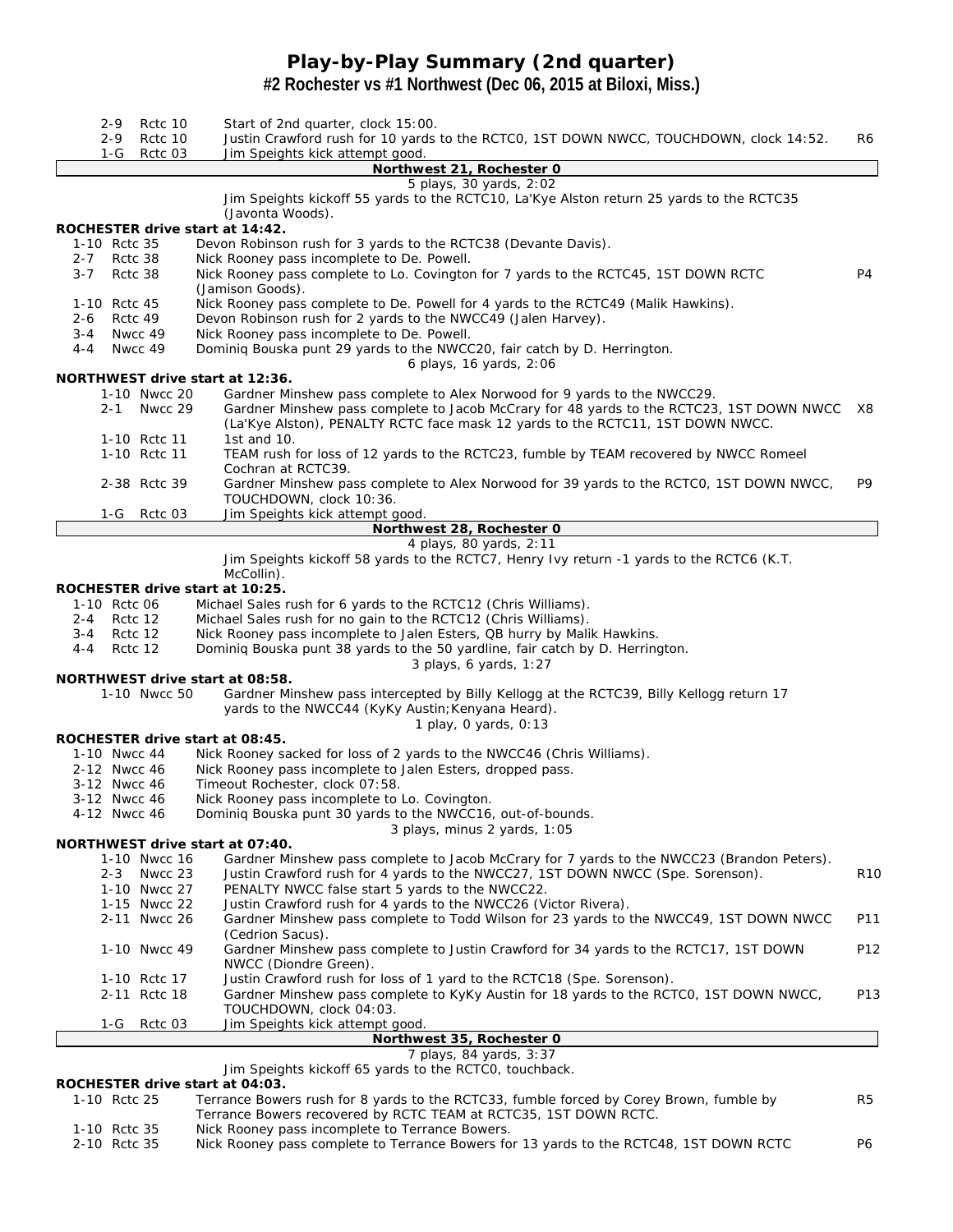# **Play-by-Play Summary (2nd quarter) #2 Rochester vs #1 Northwest (Dec 06, 2015 at Biloxi, Miss.)**

| $2 - 9$<br>$2 - 9$                   | Rctc 10<br>Rctc 10           | Start of 2nd quarter, clock 15:00.<br>Justin Crawford rush for 10 yards to the RCTCO, 1ST DOWN NWCC, TOUCHDOWN, clock 14:52.                                                       | R6              |
|--------------------------------------|------------------------------|------------------------------------------------------------------------------------------------------------------------------------------------------------------------------------|-----------------|
| 1-G                                  | Rctc 03                      | Jim Speights kick attempt good.<br>Northwest 21, Rochester 0                                                                                                                       |                 |
|                                      |                              | 5 plays, 30 yards, 2:02                                                                                                                                                            |                 |
|                                      |                              | Jim Speights kickoff 55 yards to the RCTC10, La'Kye Alston return 25 yards to the RCTC35<br>(Javonta Woods).                                                                       |                 |
| 1-10 Rctc 35                         |                              | ROCHESTER drive start at 14:42.<br>Devon Robinson rush for 3 yards to the RCTC38 (Devante Davis).                                                                                  |                 |
| $2 - 7$<br>Rctc 38                   |                              | Nick Rooney pass incomplete to De. Powell.                                                                                                                                         |                 |
| $3 - 7$<br>Rctc 38                   |                              | Nick Rooney pass complete to Lo. Covington for 7 yards to the RCTC45, 1ST DOWN RCTC<br>(Jamison Goods).                                                                            | P4              |
| 1-10 Rctc 45                         |                              | Nick Rooney pass complete to De. Powell for 4 yards to the RCTC49 (Malik Hawkins).                                                                                                 |                 |
| Rctc 49<br>$2 - 6$<br>3-4            | Nwcc 49                      | Devon Robinson rush for 2 yards to the NWCC49 (Jalen Harvey).                                                                                                                      |                 |
| $4 - 4$                              | Nwcc 49                      | Nick Rooney pass incomplete to De. Powell.<br>Dominiq Bouska punt 29 yards to the NWCC20, fair catch by D. Herrington.                                                             |                 |
|                                      |                              | 6 plays, 16 yards, 2:06                                                                                                                                                            |                 |
|                                      |                              | NORTHWEST drive start at 12:36.                                                                                                                                                    |                 |
|                                      | 1-10 Nwcc 20                 | Gardner Minshew pass complete to Alex Norwood for 9 yards to the NWCC29.                                                                                                           |                 |
| $2 - 1$                              | Nwcc 29                      | Gardner Minshew pass complete to Jacob McCrary for 48 yards to the RCTC23, 1ST DOWN NWCC<br>(La'Kye Alston), PENALTY RCTC face mask 12 yards to the RCTC11, 1ST DOWN NWCC.         | X8              |
|                                      | 1-10 Rctc 11                 | 1st and 10.                                                                                                                                                                        |                 |
|                                      | 1-10 Rctc 11                 | TEAM rush for loss of 12 yards to the RCTC23, fumble by TEAM recovered by NWCC Romeel<br>Cochran at RCTC39.                                                                        |                 |
|                                      | 2-38 Rctc 39                 | Gardner Minshew pass complete to Alex Norwood for 39 yards to the RCTCO, 1ST DOWN NWCC,<br>TOUCHDOWN, clock 10:36.                                                                 | P9              |
| 1-G                                  | Rctc 03                      | Jim Speights kick attempt good.                                                                                                                                                    |                 |
|                                      |                              | Northwest 28, Rochester 0<br>4 plays, 80 yards, 2:11                                                                                                                               |                 |
|                                      |                              | Jim Speights kickoff 58 yards to the RCTC7, Henry Ivy return -1 yards to the RCTC6 (K.T.<br>McCollin).                                                                             |                 |
|                                      |                              | ROCHESTER drive start at 10:25.                                                                                                                                                    |                 |
| 1-10 Rctc 06                         |                              | Michael Sales rush for 6 yards to the RCTC12 (Chris Williams).                                                                                                                     |                 |
| Rctc 12<br>$2 - 4$                   |                              | Michael Sales rush for no gain to the RCTC12 (Chris Williams).                                                                                                                     |                 |
| Rctc 12<br>3-4<br>Rctc 12<br>$4 - 4$ |                              | Nick Rooney pass incomplete to Jalen Esters, QB hurry by Malik Hawkins.<br>Dominiq Bouska punt 38 yards to the 50 yardline, fair catch by D. Herrington.<br>3 plays, 6 yards, 1:27 |                 |
|                                      |                              | NORTHWEST drive start at 08:58.                                                                                                                                                    |                 |
|                                      | 1-10 Nwcc 50                 | Gardner Minshew pass intercepted by Billy Kellogg at the RCTC39, Billy Kellogg return 17<br>yards to the NWCC44 (KyKy Austin; Kenyana Heard).                                      |                 |
|                                      |                              | 1 play, 0 yards, 0:13                                                                                                                                                              |                 |
| 1-10 Nwcc 44                         |                              | ROCHESTER drive start at 08:45.<br>Nick Rooney sacked for loss of 2 yards to the NWCC46 (Chris Williams).                                                                          |                 |
| 2-12 Nwcc 46                         |                              | Nick Rooney pass incomplete to Jalen Esters, dropped pass.                                                                                                                         |                 |
| 3-12 Nwcc 46                         |                              | Timeout Rochester, clock 07:58.                                                                                                                                                    |                 |
| 3-12 Nwcc 46                         |                              | Nick Rooney pass incomplete to Lo. Covington.                                                                                                                                      |                 |
| 4-12 Nwcc 46                         |                              | Dominiq Bouska punt 30 yards to the NWCC16, out-of-bounds.<br>3 plays, minus 2 yards, 1:05                                                                                         |                 |
|                                      |                              | NORTHWEST drive start at 07:40.                                                                                                                                                    |                 |
|                                      | 1-10 Nwcc 16                 | Gardner Minshew pass complete to Jacob McCrary for 7 yards to the NWCC23 (Brandon Peters).                                                                                         |                 |
| $2 - 3$                              | Nwcc 23                      | Justin Crawford rush for 4 yards to the NWCC27, 1ST DOWN NWCC (Spe. Sorenson).                                                                                                     | <b>R10</b>      |
|                                      | 1-10 Nwcc 27<br>1-15 Nwcc 22 | PENALTY NWCC false start 5 yards to the NWCC22.<br>Justin Crawford rush for 4 yards to the NWCC26 (Victor Rivera).                                                                 |                 |
|                                      | 2-11 Nwcc 26                 | Gardner Minshew pass complete to Todd Wilson for 23 yards to the NWCC49, 1ST DOWN NWCC                                                                                             | P11             |
|                                      |                              | (Cedrion Sacus).                                                                                                                                                                   |                 |
|                                      | 1-10 Nwcc 49                 | Gardner Minshew pass complete to Justin Crawford for 34 yards to the RCTC17, 1ST DOWN<br>NWCC (Diondre Green).                                                                     | P12             |
|                                      | 1-10 Rctc 17                 | Justin Crawford rush for loss of 1 yard to the RCTC18 (Spe. Sorenson).                                                                                                             |                 |
|                                      | 2-11 Rctc 18                 | Gardner Minshew pass complete to KyKy Austin for 18 yards to the RCTCO, 1ST DOWN NWCC,<br>TOUCHDOWN, clock 04:03.                                                                  | P <sub>13</sub> |
| 1-G                                  | Rctc 03                      | Jim Speights kick attempt good.<br>Northwest 35, Rochester 0                                                                                                                       |                 |
|                                      |                              | 7 plays, 84 yards, 3:37                                                                                                                                                            |                 |
|                                      |                              | Jim Speights kickoff 65 yards to the RCTCO, touchback.                                                                                                                             |                 |
|                                      |                              | ROCHESTER drive start at 04:03.                                                                                                                                                    |                 |

1-10 Rctc 25 Terrance Bowers rush for 8 yards to the RCTC33, fumble forced by Corey Brown, fumble by R5 Terrance Bowers recovered by RCTC TEAM at RCTC35, 1ST DOWN RCTC. 1-10 Rctc 35 Nick Rooney pass incomplete to Terrance Bowers.

2-10 Rctc 35 Nick Rooney pass complete to Terrance Bowers for 13 yards to the RCTC48, 1ST DOWN RCTC P6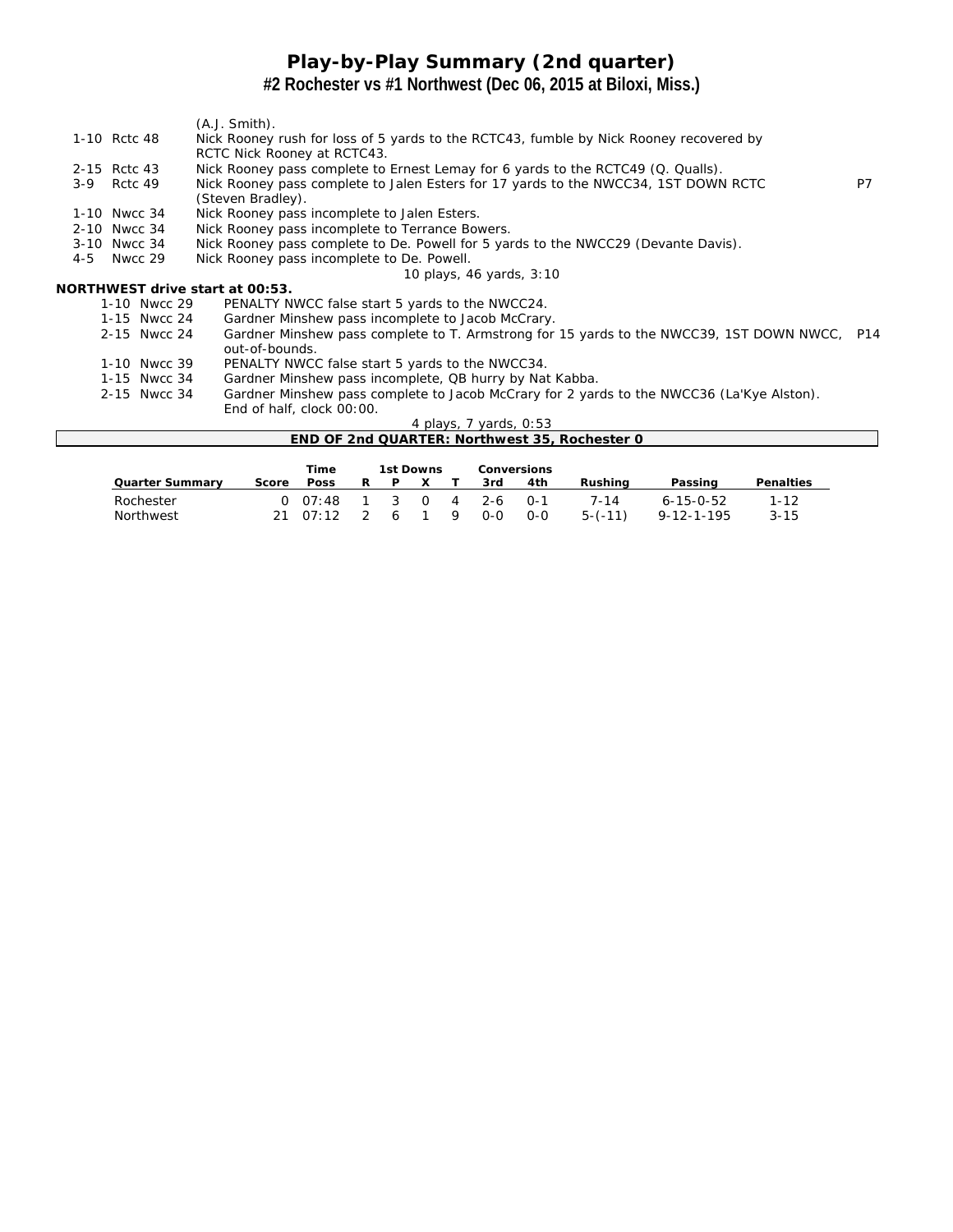# **Play-by-Play Summary (2nd quarter) #2 Rochester vs #1 Northwest (Dec 06, 2015 at Biloxi, Miss.)**

|              | (A.J. Smith).                                                                                |  |
|--------------|----------------------------------------------------------------------------------------------|--|
| 1-10 Rctc 48 | Nick Rooney rush for loss of 5 yards to the RCTC43, fumble by Nick Rooney recovered by       |  |
|              | RCTC Nick Rooney at RCTC43.                                                                  |  |
| 2-15 Rctc 43 | Nick Rooney pass complete to Ernest Lemay for 6 yards to the RCTC49 (Q. Qualls).             |  |
| 3-9 Rctc 49  | Nick Rooney pass complete to Jalen Esters for 17 yards to the NWCC34, 1ST DOWN RCTC<br>P7    |  |
|              | (Steven Bradley).                                                                            |  |
| 1-10 Nwcc 34 | Nick Rooney pass incomplete to Jalen Esters.                                                 |  |
| 2-10 Nwcc 34 | Nick Rooney pass incomplete to Terrance Bowers.                                              |  |
| 3-10 Nwcc 34 | Nick Rooney pass complete to De. Powell for 5 yards to the NWCC29 (Devante Davis).           |  |
| 4-5 Nwcc 29  | Nick Rooney pass incomplete to De. Powell.                                                   |  |
|              | 10 plays, 46 yards, 3:10                                                                     |  |
|              | NORTHWEST drive start at 00:53.                                                              |  |
| 1-10 Nwcc 29 | PENALTY NWCC false start 5 yards to the NWCC24.                                              |  |
| 1-15 Nwcc 24 | Gardner Minshew pass incomplete to Jacob McCrary.                                            |  |
| 2-15 Nwcc 24 | Gardner Minshew pass complete to T. Armstrong for 15 yards to the NWCC39, 1ST DOWN NWCC, P14 |  |
|              | out-of-bounds.                                                                               |  |
| 1-10 Nwcc 39 | PENALTY NWCC false start 5 yards to the NWCC34.                                              |  |
| 1-15 Nwcc 34 | Gardner Minshew pass incomplete, QB hurry by Nat Kabba.                                      |  |
| 2-15 Nwcc 34 | Gardner Minshew pass complete to Jacob McCrary for 2 yards to the NWCC36 (La'Kye Alston).    |  |
|              | End of half, clock 00:00.                                                                    |  |
|              | 4 plays, 7 yards, 0:53                                                                       |  |

|                 |       |         |   |           |          |                |             |      | END OF 2nd QUARTER: Northwest 35, Rochester 0 |                    |           |
|-----------------|-------|---------|---|-----------|----------|----------------|-------------|------|-----------------------------------------------|--------------------|-----------|
|                 |       | Time    |   | 1st Downs |          |                | Conversions |      |                                               |                    |           |
| Quarter Summary | Score | Poss    | R |           |          |                | 3rd         | 4th  | Rushina                                       | Passing            | Penalties |
| Rochester       |       | 0.07:48 |   |           | $\Omega$ | $\overline{4}$ | 2-6         | ົດ-1 | 7-14                                          | $6 - 15 - 0 - 52$  | $1 - 12$  |
| Northwest       |       | 07:12   |   |           |          |                | ი-ი         | 0-0  | $5-(-11)$                                     | $9 - 12 - 1 - 195$ | $3 - 15$  |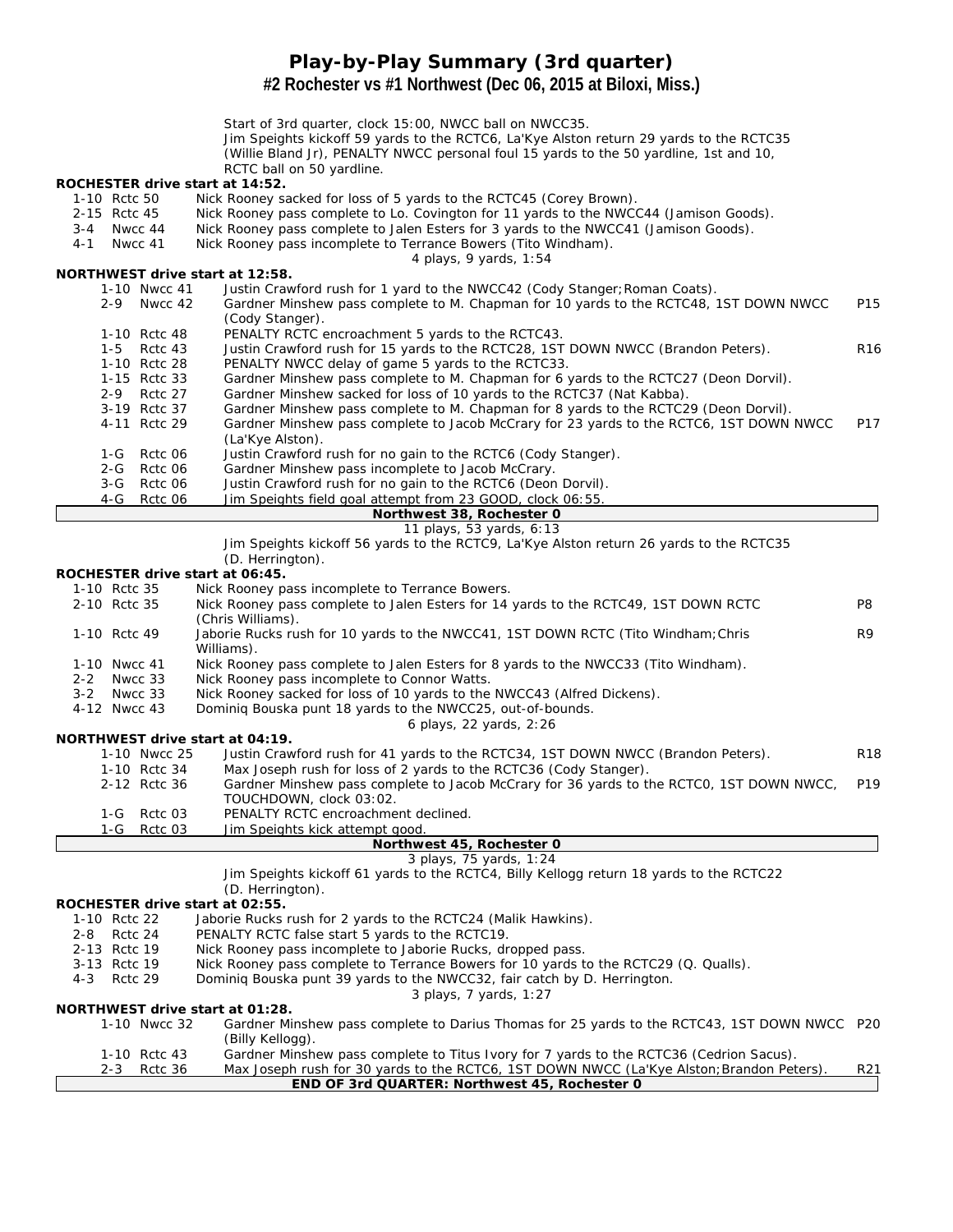## **Play-by-Play Summary (3rd quarter) #2 Rochester vs #1 Northwest (Dec 06, 2015 at Biloxi, Miss.)**

Start of 3rd quarter, clock 15:00, NWCC ball on NWCC35. Jim Speights kickoff 59 yards to the RCTC6, La'Kye Alston return 29 yards to the RCTC35 (Willie Bland Jr), PENALTY NWCC personal foul 15 yards to the 50 yardline, 1st and 10, RCTC ball on 50 yardline.

**ROCHESTER drive start at 14:52.** 1-10 Rctc 50 Nick Rooney sacked for loss of 5 yards to the RCTC45 (Corey Brown).<br>2-15 Rctc 45 Nick Rooney pass complete to Lo. Covington for 11 yards to the NWC

- Nick Rooney pass complete to Lo. Covington for 11 yards to the NWCC44 (Jamison Goods).
- 3-4 Nwcc 44 Nick Rooney pass complete to Jalen Esters for 3 yards to the NWCC41 (Jamison Goods).
- 4-1 Nwcc 41 Nick Rooney pass incomplete to Terrance Bowers (Tito Windham). *4 plays, 9 yards, 1:54*

**NORTHWEST drive start at 12:58.**

| 1-10    | Nwcc 41      | Justin Crawford rush for 1 yard to the NWCC42 (Cody Stanger; Roman Coats).              |                 |
|---------|--------------|-----------------------------------------------------------------------------------------|-----------------|
| $2 - 9$ | Nwcc 42      | Gardner Minshew pass complete to M. Chapman for 10 yards to the RCTC48, 1ST DOWN NWCC   | P15             |
|         |              | (Cody Stanger).                                                                         |                 |
|         | 1-10 Rctc 48 | PENALTY RCTC encroachment 5 yards to the RCTC43.                                        |                 |
|         | 1-5 Rctc 43  | Justin Crawford rush for 15 yards to the RCTC28, 1ST DOWN NWCC (Brandon Peters).        | R <sub>16</sub> |
|         | 1-10 Rctc 28 | PENALTY NWCC delay of game 5 yards to the RCTC33.                                       |                 |
|         | 1-15 Rctc 33 | Gardner Minshew pass complete to M. Chapman for 6 yards to the RCTC27 (Deon Dorvil).    |                 |
| $2 - 9$ | Rctc 27      | Gardner Minshew sacked for loss of 10 yards to the RCTC37 (Nat Kabba).                  |                 |
|         | 3-19 Rctc 37 | Gardner Minshew pass complete to M. Chapman for 8 yards to the RCTC29 (Deon Dorvil).    |                 |
|         | 4-11 Rctc 29 | Gardner Minshew pass complete to Jacob McCrary for 23 yards to the RCTC6, 1ST DOWN NWCC | P17             |
|         |              | (La'Kye Alston).                                                                        |                 |
| 1-G     | Rctc 06      | Justin Crawford rush for no gain to the RCTC6 (Cody Stanger).                           |                 |
| $2 - G$ | Rctc 06      | Gardner Minshew pass incomplete to Jacob McCrary.                                       |                 |
| $3-G$   | Rctc 06      | Justin Crawford rush for no gain to the RCTC6 (Deon Dorvil).                            |                 |
| 4-G     | Rctc 06      | Jim Speights field goal attempt from 23 GOOD, clock 06:55.                              |                 |

| Northwest 38, Rochester 0 |  |
|---------------------------|--|
| 11 plays, 53 vards, 6:13  |  |

|                                 | Jim Speights kickoff 56 yards to the RCTC9, La'Kye Alston return 26 yards to the RCTC35<br>(D. Herrington). |                 |
|---------------------------------|-------------------------------------------------------------------------------------------------------------|-----------------|
| ROCHESTER drive start at 06:45. |                                                                                                             |                 |
| 1-10 Rctc 35                    | Nick Rooney pass incomplete to Terrance Bowers.                                                             |                 |
| 2-10 Rctc 35                    | Nick Rooney pass complete to Jalen Esters for 14 yards to the RCTC49, 1ST DOWN RCTC                         | P <sub>8</sub>  |
|                                 | (Chris Williams).                                                                                           |                 |
| 1-10 Rctc 49                    | Jaborie Rucks rush for 10 yards to the NWCC41, 1ST DOWN RCTC (Tito Windham; Chris                           | R <sub>9</sub>  |
|                                 | Williams).                                                                                                  |                 |
| 1-10 Nwcc 41                    | Nick Rooney pass complete to Jalen Esters for 8 yards to the NWCC33 (Tito Windham).                         |                 |
| 2-2 Nwcc 33                     | Nick Rooney pass incomplete to Connor Watts.                                                                |                 |
| 3-2 Nwcc 33                     | Nick Rooney sacked for loss of 10 yards to the NWCC43 (Alfred Dickens).                                     |                 |
| 4-12 Nwcc 43                    | Dominiq Bouska punt 18 yards to the NWCC25, out-of-bounds.                                                  |                 |
|                                 | 6 plays, 22 yards, 2:26                                                                                     |                 |
| NORTHWEST drive start at 04:19. |                                                                                                             |                 |
| 1-10 Nwcc 25                    | Justin Crawford rush for 41 yards to the RCTC34, 1ST DOWN NWCC (Brandon Peters).                            | R <sub>18</sub> |
| 1-10 Rctc 34                    | Max Joseph rush for loss of 2 yards to the RCTC36 (Cody Stanger).                                           |                 |
| 2-12 Rctc 36                    | Gardner Minshew pass complete to Jacob McCrary for 36 yards to the RCTCO, 1ST DOWN NWCC,                    | P <sub>19</sub> |
|                                 | TOUCHDOWN, clock 03:02.                                                                                     |                 |
| $1-G$ Rctc 03                   | PENALTY RCTC encroachment declined.                                                                         |                 |
| Rctc 03<br>1-G                  | Jim Speights kick attempt good.                                                                             |                 |
|                                 | Northwest 45, Rochester 0                                                                                   |                 |

*3 plays, 75 yards, 1:24*

Jim Speights kickoff 61 yards to the RCTC4, Billy Kellogg return 18 yards to the RCTC22 (D. Herrington).

**ROCHESTER drive start at 02:55.**

- 1-10 Rctc 22 Jaborie Rucks rush for 2 yards to the RCTC24 (Malik Hawkins).
- 2-8 Rctc 24 PENALTY RCTC false start 5 yards to the RCTC19.
- 2-13 Rctc 19 Nick Rooney pass incomplete to Jaborie Rucks, dropped pass.

3-13 Rctc 19 Nick Rooney pass complete to Terrance Bowers for 10 yards to the RCTC29 (Q. Qualls).<br>4-3 Rctc 29 Dominig Bouska punt 39 yards to the NWCC32, fair catch by D. Herrington.

Dominiq Bouska punt 39 yards to the NWCC32, fair catch by D. Herrington.

*3 plays, 7 yards, 1:27*

**NORTHWEST drive start at 01:28.**

1-10 Nwcc 32 Gardner Minshew pass complete to Darius Thomas for 25 yards to the RCTC43, 1ST DOWN NWCC P20 (Billy Kellogg).

| 1-10 Rctc 43 | Gardner Minshew pass complete to Titus Ivory for 7 yards to the RCTC36 (Cedrion Sacus).   |                 |
|--------------|-------------------------------------------------------------------------------------------|-----------------|
| 2-3 Rete 36  | Max Joseph rush for 30 vards to the RCTC6, 1ST DOWN NWCC (La'Kve Alston: Brandon Peters). | R <sub>21</sub> |

**END OF 3rd QUARTER: Northwest 45, Rochester 0**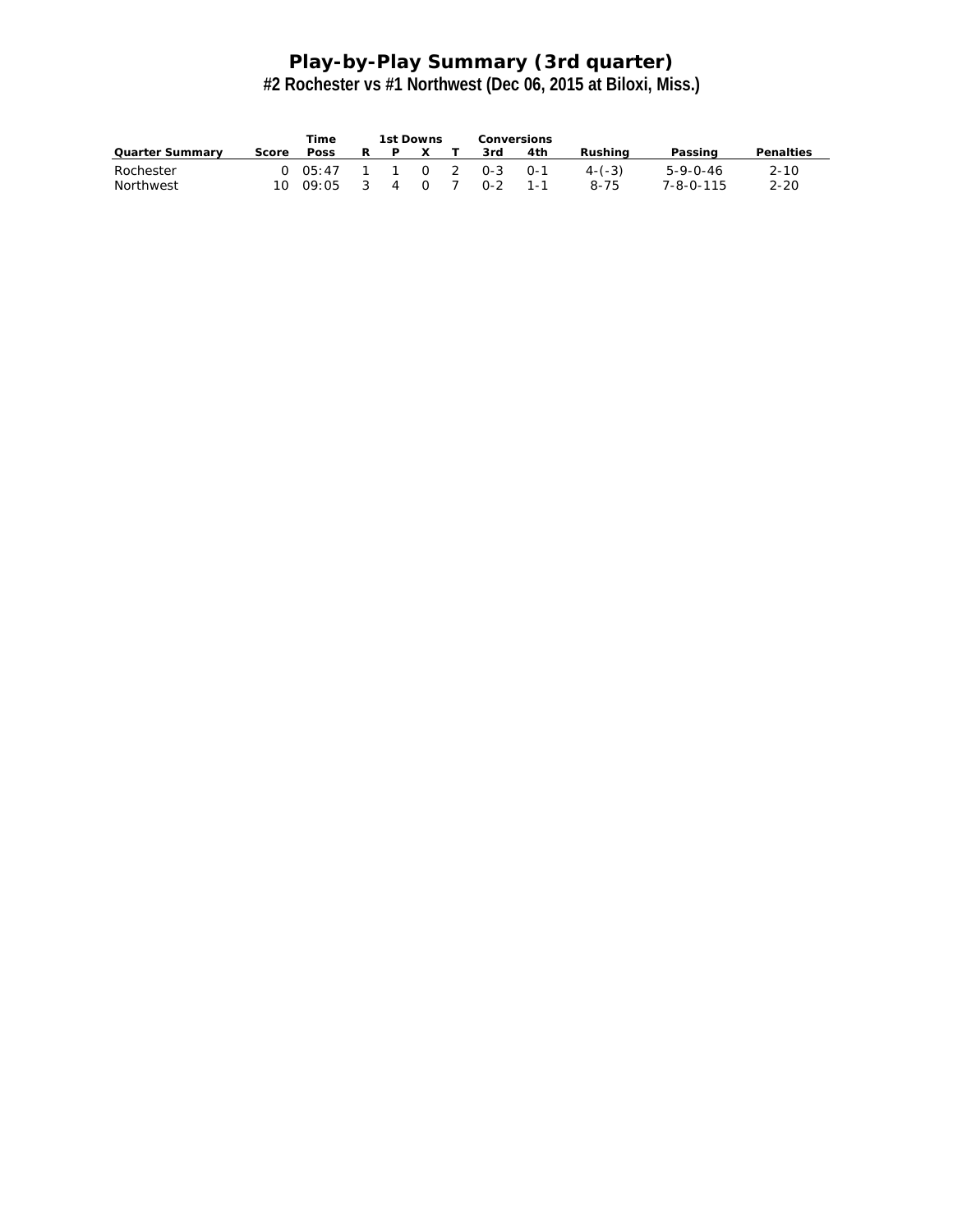# **Play-by-Play Summary (3rd quarter) #2 Rochester vs #1 Northwest (Dec 06, 2015 at Biloxi, Miss.)**

|                 |       | Time     |      | 1st Downs |   | Conversions             |     |            |                  |           |
|-----------------|-------|----------|------|-----------|---|-------------------------|-----|------------|------------------|-----------|
| Quarter Summary | Score | Poss     |      |           | X | 3rd                     | 4th | Rushina    | Passing          | Penalties |
| Rochester       |       |          |      |           |   | 0 05:47 1 1 0 2 0-3 0-1 |     | $4 - (-3)$ | $5 - 9 - 0 - 46$ | 2-10      |
| Northwest       |       | 10009:05 | $-3$ | 40        |   | $0 - 2$                 |     | 8-75       | 7-8-0-115        | $2 - 20$  |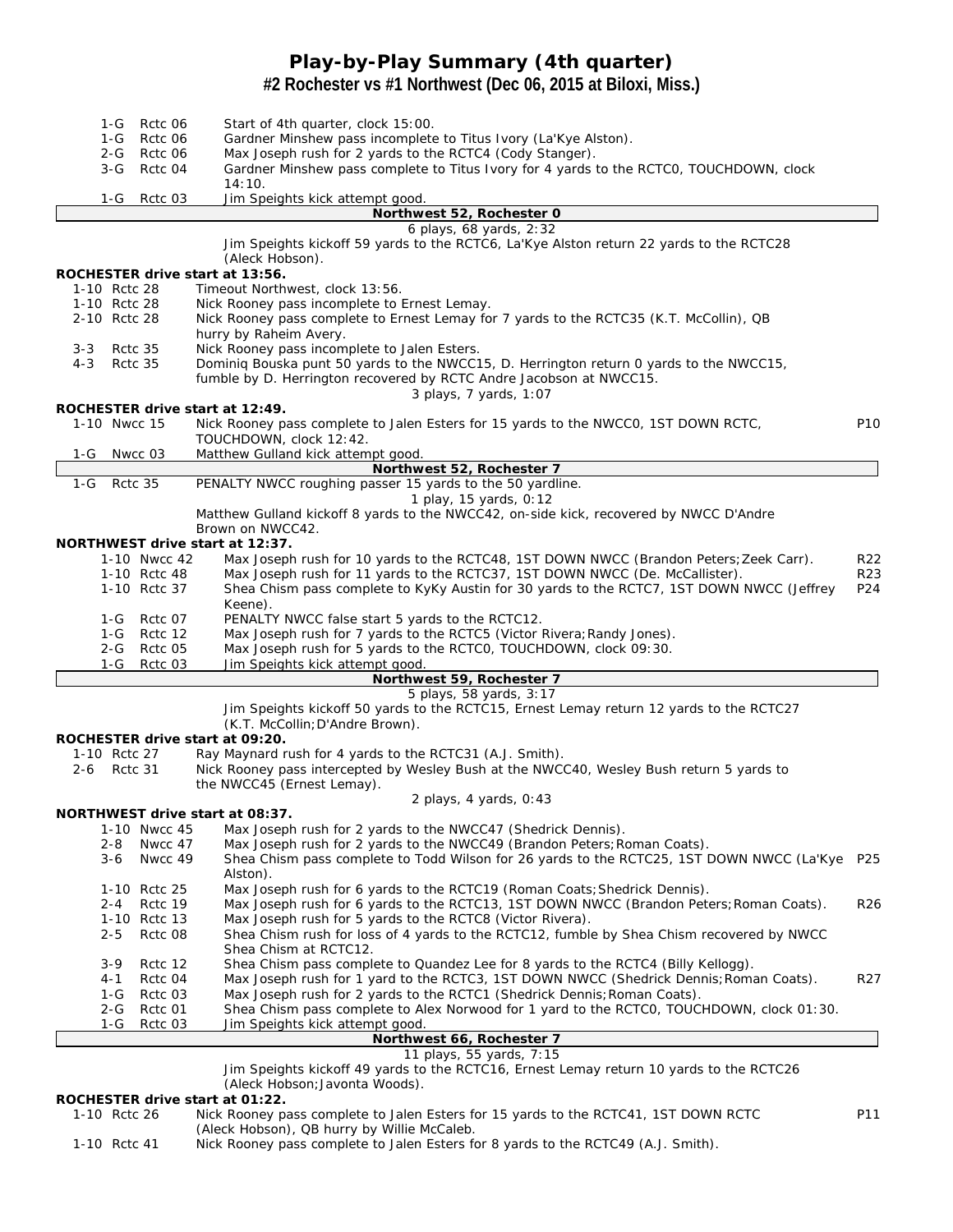# **Play-by-Play Summary (4th quarter) #2 Rochester vs #1 Northwest (Dec 06, 2015 at Biloxi, Miss.)**

|              | 1-G            | Rctc 06            | Start of 4th quarter, clock 15:00.                                                                                                                                   |                 |
|--------------|----------------|--------------------|----------------------------------------------------------------------------------------------------------------------------------------------------------------------|-----------------|
|              | 1-G            | Rctc 06            | Gardner Minshew pass incomplete to Titus Ivory (La'Kye Alston).                                                                                                      |                 |
|              | 2-G            | Rctc 06            | Max Joseph rush for 2 yards to the RCTC4 (Cody Stanger).                                                                                                             |                 |
|              | 3-G            | Rctc 04            | Gardner Minshew pass complete to Titus Ivory for 4 yards to the RCTCO, TOUCHDOWN, clock                                                                              |                 |
|              |                |                    | 14:10.                                                                                                                                                               |                 |
|              | 1-G            | Rctc 03            | Jim Speights kick attempt good.<br>Northwest 52, Rochester 0                                                                                                         |                 |
|              |                |                    | 6 plays, 68 yards, 2:32                                                                                                                                              |                 |
|              |                |                    | Jim Speights kickoff 59 yards to the RCTC6, La'Kye Alston return 22 yards to the RCTC28                                                                              |                 |
|              |                |                    | (Aleck Hobson).                                                                                                                                                      |                 |
|              |                |                    | ROCHESTER drive start at 13:56.                                                                                                                                      |                 |
| 1-10 Rctc 28 |                |                    | Timeout Northwest, clock 13:56.                                                                                                                                      |                 |
| 1-10 Rctc 28 |                |                    | Nick Rooney pass incomplete to Ernest Lemay.                                                                                                                         |                 |
| 2-10 Rctc 28 |                |                    | Nick Rooney pass complete to Ernest Lemay for 7 yards to the RCTC35 (K.T. McCollin), QB                                                                              |                 |
|              |                |                    | hurry by Raheim Avery.                                                                                                                                               |                 |
| $3 - 3$      | Rctc 35        |                    | Nick Rooney pass incomplete to Jalen Esters.                                                                                                                         |                 |
| 4-3          |                | Rctc 35            | Dominiq Bouska punt 50 yards to the NWCC15, D. Herrington return 0 yards to the NWCC15,                                                                              |                 |
|              |                |                    | fumble by D. Herrington recovered by RCTC Andre Jacobson at NWCC15.                                                                                                  |                 |
|              |                |                    | 3 plays, 7 yards, 1:07                                                                                                                                               |                 |
|              |                |                    | ROCHESTER drive start at 12:49.                                                                                                                                      | P10             |
| 1-10 Nwcc 15 |                |                    | Nick Rooney pass complete to Jalen Esters for 15 yards to the NWCCO, 1ST DOWN RCTC,<br>TOUCHDOWN, clock 12:42.                                                       |                 |
| 1-G          |                | Nwcc 03            | Matthew Gulland kick attempt good.                                                                                                                                   |                 |
|              |                |                    | Northwest 52, Rochester 7                                                                                                                                            |                 |
| 1-G          | Rctc 35        |                    | PENALTY NWCC roughing passer 15 yards to the 50 yardline.                                                                                                            |                 |
|              |                |                    | 1 play, 15 yards, 0:12                                                                                                                                               |                 |
|              |                |                    | Matthew Gulland kickoff 8 yards to the NWCC42, on-side kick, recovered by NWCC D'Andre                                                                               |                 |
|              |                |                    | Brown on NWCC42.                                                                                                                                                     |                 |
|              |                |                    | NORTHWEST drive start at 12:37.                                                                                                                                      |                 |
|              |                | 1-10 Nwcc 42       | Max Joseph rush for 10 yards to the RCTC48, 1ST DOWN NWCC (Brandon Peters; Zeek Carr).                                                                               | R <sub>22</sub> |
|              |                | 1-10 Rctc 48       | Max Joseph rush for 11 yards to the RCTC37, 1ST DOWN NWCC (De. McCallister).                                                                                         | R <sub>23</sub> |
|              |                | 1-10 Rctc 37       | Shea Chism pass complete to KyKy Austin for 30 yards to the RCTC7, 1ST DOWN NWCC (Jeffrey                                                                            | P24             |
|              |                |                    | Keene).                                                                                                                                                              |                 |
|              | 1-G            | Rctc 07            | PENALTY NWCC false start 5 yards to the RCTC12.                                                                                                                      |                 |
|              | 1-G<br>$2 - G$ | Rctc 12<br>Rctc 05 | Max Joseph rush for 7 yards to the RCTC5 (Victor Rivera; Randy Jones).<br>Max Joseph rush for 5 yards to the RCTCO, TOUCHDOWN, clock 09:30.                          |                 |
|              | 1-G            | Rctc 03            | Jim Speights kick attempt good.                                                                                                                                      |                 |
|              |                |                    | Northwest 59, Rochester 7                                                                                                                                            |                 |
|              |                |                    | 5 plays, 58 yards, 3:17                                                                                                                                              |                 |
|              |                |                    | Jim Speights kickoff 50 yards to the RCTC15, Ernest Lemay return 12 yards to the RCTC27                                                                              |                 |
|              |                |                    | (K.T. McCollin; D'Andre Brown).                                                                                                                                      |                 |
|              |                |                    | ROCHESTER drive start at 09:20.                                                                                                                                      |                 |
| 1-10 Rctc 27 |                |                    | Ray Maynard rush for 4 yards to the RCTC31 (A.J. Smith).                                                                                                             |                 |
| 2-6          | Rctc 31        |                    |                                                                                                                                                                      |                 |
|              |                |                    | Nick Rooney pass intercepted by Wesley Bush at the NWCC40, Wesley Bush return 5 yards to                                                                             |                 |
|              |                |                    | the NWCC45 (Ernest Lemay).                                                                                                                                           |                 |
|              |                |                    | 2 plays, 4 yards, 0:43                                                                                                                                               |                 |
|              |                |                    | NORTHWEST drive start at 08:37.                                                                                                                                      |                 |
|              |                | 1-10 Nwcc 45       | Max Joseph rush for 2 yards to the NWCC47 (Shedrick Dennis).                                                                                                         |                 |
|              | 2-8            | Nwcc 47            | Max Joseph rush for 2 yards to the NWCC49 (Brandon Peters; Roman Coats).                                                                                             |                 |
|              | 3-6            | Nwcc 49            | Shea Chism pass complete to Todd Wilson for 26 yards to the RCTC25, 1ST DOWN NWCC (La'Kye P25                                                                        |                 |
|              |                | 1-10 Rctc 25       | Alston).                                                                                                                                                             |                 |
|              | 2-4            | Rctc 19            | Max Joseph rush for 6 yards to the RCTC19 (Roman Coats; Shedrick Dennis).<br>Max Joseph rush for 6 yards to the RCTC13, 1ST DOWN NWCC (Brandon Peters; Roman Coats). | R26             |
|              |                | 1-10 Rctc 13       | Max Joseph rush for 5 yards to the RCTC8 (Victor Rivera).                                                                                                            |                 |
|              | $2 - 5$        | Rctc 08            | Shea Chism rush for loss of 4 yards to the RCTC12, fumble by Shea Chism recovered by NWCC                                                                            |                 |
|              |                |                    | Shea Chism at RCTC12.                                                                                                                                                |                 |
|              | $3-9$          | Rctc 12            | Shea Chism pass complete to Quandez Lee for 8 yards to the RCTC4 (Billy Kellogg).                                                                                    |                 |
|              | 4-1            | Rctc 04            | Max Joseph rush for 1 yard to the RCTC3, 1ST DOWN NWCC (Shedrick Dennis; Roman Coats).                                                                               | R27             |
|              | 1-G            | Rctc 03            | Max Joseph rush for 2 yards to the RCTC1 (Shedrick Dennis; Roman Coats).                                                                                             |                 |
|              | 2-G            | Rctc 01            | Shea Chism pass complete to Alex Norwood for 1 yard to the RCTCO, TOUCHDOWN, clock 01:30.                                                                            |                 |
|              | 1-G            | Rctc 03            | Jim Speights kick attempt good.                                                                                                                                      |                 |
|              |                |                    | Northwest 66, Rochester 7                                                                                                                                            |                 |
|              |                |                    | 11 plays, 55 yards, 7:15                                                                                                                                             |                 |
|              |                |                    | Jim Speights kickoff 49 yards to the RCTC16, Ernest Lemay return 10 yards to the RCTC26<br>(Aleck Hobson; Javonta Woods).                                            |                 |
|              |                |                    | ROCHESTER drive start at 01:22.                                                                                                                                      |                 |
| 1-10 Rctc 26 |                |                    | Nick Rooney pass complete to Jalen Esters for 15 yards to the RCTC41, 1ST DOWN RCTC                                                                                  | P11             |
| 1-10 Rctc 41 |                |                    | (Aleck Hobson), QB hurry by Willie McCaleb.<br>Nick Rooney pass complete to Jalen Esters for 8 yards to the RCTC49 (A.J. Smith).                                     |                 |